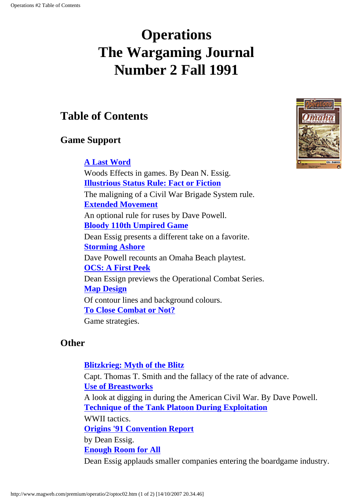# <span id="page-0-0"></span>**Operations The Wargaming Journal Number 2 Fall 1991**

## **Table of Contents**

### **Game Support**

#### **[A Last Word](#page-2-0)**

Woods Effects in games. By Dean N. Essig. **[Illustrious Status Rule: Fact or Fiction](#page-4-0)** The maligning of a Civil War Brigade System rule. **[Extended Movement](#page-6-0)** An optional rule for ruses by Dave Powell. **[Bloody 110th Umpired Game](#page-12-0)** Dean Essig presents a different take on a favorite. **[Storming Ashore](#page-17-0)** Dave Powell recounts an Omaha Beach playtest. **[OCS: A First Peek](#page-21-0)** Dean Essign previews the Operational Combat Series. **[Map Design](#page-25-0)** Of contour lines and background colours. **[To Close Combat or Not?](#page-28-0)** Game strategies.

#### **Other**

#### **[Blitzkrieg: Myth of the Blitz](#page-31-0)**

Capt. Thomas T. Smith and the fallacy of the rate of advance. **[Use of Breastworks](#page-36-0)** A look at digging in during the American Civil War. By Dave Powell. **[Technique of the Tank Platoon During Exploitation](#page-42-0)** WWII tactics. **[Origins '91 Convention Report](#page-51-0)** by Dean Essig. **[Enough Room for All](#page-53-0)** Dean Essig applauds smaller companies entering the boardgame industry.

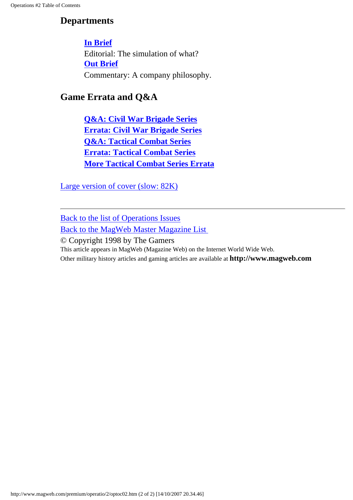### **Departments**

#### **[In Brief](#page-55-0)**

Editorial: The simulation of what? **[Out Brief](#page-58-0)** Commentary: A company philosophy.

### **Game Errata and Q&A**

**[Q&A: Civil War Brigade Series](#page-61-0) [Errata: Civil War Brigade Series](#page-64-0) [Q&A: Tactical Combat Series](#page-67-0) [Errata: Tactical Combat Series](#page-70-0) [More Tactical Combat Series Errata](#page-72-0)**

[Large version of cover \(slow: 82K\)](#page-74-0)

[Back to the list of Operations Issues](http://www.magweb.com/premium/operatio/operiss.htm) [Back to the MagWeb Master Magazine List](http://www.magweb.com/premium/maglist.htm) 

© Copyright 1998 by The Gamers This article appears in MagWeb (Magazine Web) on the Internet World Wide Web. Other military history articles and gaming articles are available at **http://www.magweb.com**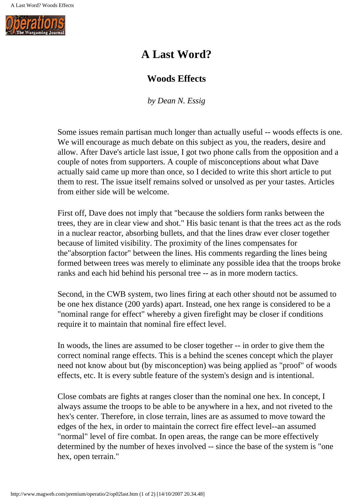<span id="page-2-0"></span>

## **A Last Word?**

#### **Woods Effects**

*by Dean N. Essig*

Some issues remain partisan much longer than actually useful -- woods effects is one. We will encourage as much debate on this subject as you, the readers, desire and allow. After Dave's article last issue, I got two phone calls from the opposition and a couple of notes from supporters. A couple of misconceptions about what Dave actually said came up more than once, so I decided to write this short article to put them to rest. The issue itself remains solved or unsolved as per your tastes. Articles from either side will be welcome.

First off, Dave does not imply that "because the soldiers form ranks between the trees, they are in clear view and shot." His basic tenant is that the trees act as the rods in a nuclear reactor, absorbing bullets, and that the lines draw ever closer together because of limited visibility. The proximity of the lines compensates for the"absorption factor" between the lines. His comments regarding the lines being formed between trees was merely to eliminate any possible idea that the troops broke ranks and each hid behind his personal tree -- as in more modern tactics.

Second, in the CWB system, two lines firing at each other shoutd not be assumed to be one hex distance (200 yards) apart. Instead, one hex range is considered to be a "nominal range for effect" whereby a given firefight may be closer if conditions require it to maintain that nominal fire effect level.

In woods, the lines are assumed to be closer together -- in order to give them the correct nominal range effects. This is a behind the scenes concept which the player need not know about but (by misconception) was being applied as "proof" of woods effects, etc. It is every subtle feature of the system's design and is intentional.

Close combats are fights at ranges closer than the nominal one hex. In concept, I always assume the troops to be able to be anywhere in a hex, and not riveted to the hex's center. Therefore, in close terrain, lines are as assumed to move toward the edges of the hex, in order to maintain the correct fire effect level--an assumed "normal" level of fire combat. In open areas, the range can be more effectively determined by the number of hexes involved -- since the base of the system is "one hex, open terrain."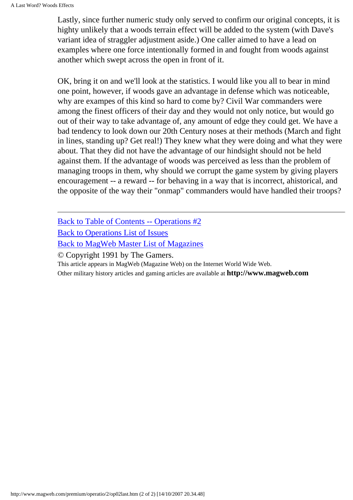Lastly, since further numeric study only served to confirm our original concepts, it is highty unlikely that a woods terrain effect will be added to the system (with Dave's variant idea of straggler adjustment aside.) One caller aimed to have a lead on examples where one force intentionally formed in and fought from woods against another which swept across the open in front of it.

OK, bring it on and we'll look at the statistics. I would like you all to bear in mind one point, however, if woods gave an advantage in defense which was noticeable, why are exampes of this kind so hard to come by? Civil War commanders were among the finest officers of their day and they would not only notice, but would go out of their way to take advantage of, any amount of edge they could get. We have a bad tendency to look down our 20th Century noses at their methods (March and fight in lines, standing up? Get real!) They knew what they were doing and what they were about. That they did not have the advantage of our hindsight should not be held against them. If the advantage of woods was perceived as less than the problem of managing troops in them, why should we corrupt the game system by giving players encouragement -- a reward -- for behaving in a way that is incorrect, ahistorical, and the opposite of the way their "onmap" commanders would have handled their troops?

[Back to Table of Contents -- Operations #2](#page-0-0)

[Back to Operations List of Issues](http://www.magweb.com/premium/operatio/operiss.htm)

[Back to MagWeb Master List of Magazines](http://www.magweb.com/premium/maglist.htm)

© Copyright 1991 by The Gamers.

This article appears in MagWeb (Magazine Web) on the Internet World Wide Web.

Other military history articles and gaming articles are available at **http://www.magweb.com**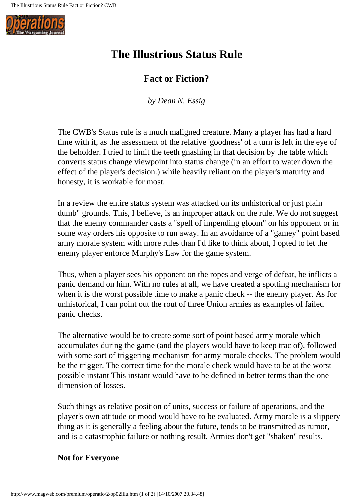<span id="page-4-0"></span>

## **The Illustrious Status Rule**

#### **Fact or Fiction?**

*by Dean N. Essig*

The CWB's Status rule is a much maligned creature. Many a player has had a hard time with it, as the assessment of the relative 'goodness' of a turn is left in the eye of the beholder. I tried to limit the teeth gnashing in that decision by the table which converts status change viewpoint into status change (in an effort to water down the effect of the player's decision.) while heavily reliant on the player's maturity and honesty, it is workable for most.

In a review the entire status system was attacked on its unhistorical or just plain dumb" grounds. This, I believe, is an improper attack on the rule. We do not suggest that the enemy commander casts a "spell of impending gloom" on his opponent or in some way orders his opposite to run away. In an avoidance of a "gamey" point based army morale system with more rules than I'd like to think about, I opted to let the enemy player enforce Murphy's Law for the game system.

Thus, when a player sees his opponent on the ropes and verge of defeat, he inflicts a panic demand on him. With no rules at all, we have created a spotting mechanism for when it is the worst possible time to make a panic check -- the enemy player. As for unhistorical, I can point out the rout of three Union armies as examples of failed panic checks.

The alternative would be to create some sort of point based army morale which accumulates during the game (and the players would have to keep trac of), followed with some sort of triggering mechanism for army morale checks. The problem would be the trigger. The correct time for the morale check would have to be at the worst possible instant This instant would have to be defined in better terms than the one dimension of losses.

Such things as relative position of units, success or failure of operations, and the player's own attitude or mood would have to be evaluated. Army morale is a slippery thing as it is generally a feeling about the future, tends to be transmitted as rumor, and is a catastrophic failure or nothing result. Armies don't get "shaken" results.

#### **Not for Everyone**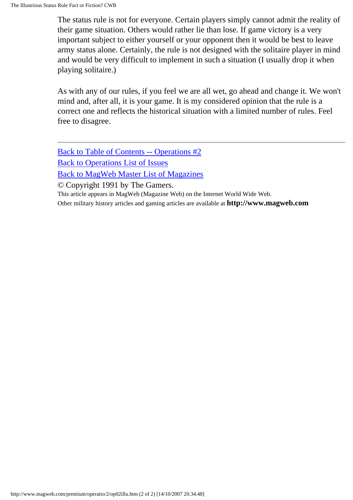The status rule is not for everyone. Certain players simply cannot admit the reality of their game situation. Others would rather lie than lose. If game victory is a very important subject to either yourself or your opponent then it would be best to leave army status alone. Certainly, the rule is not designed with the solitaire player in mind and would be very difficult to implement in such a situation (I usually drop it when playing solitaire.)

As with any of our rules, if you feel we are all wet, go ahead and change it. We won't mind and, after all, it is your game. It is my considered opinion that the rule is a correct one and reflects the historical situation with a limited number of rules. Feel free to disagree.

[Back to Table of Contents -- Operations #2](#page-0-0) [Back to Operations List of Issues](http://www.magweb.com/premium/operatio/operiss.htm) [Back to MagWeb Master List of Magazines](http://www.magweb.com/premium/maglist.htm)

© Copyright 1991 by The Gamers.

This article appears in MagWeb (Magazine Web) on the Internet World Wide Web.

Other military history articles and gaming articles are available at **http://www.magweb.com**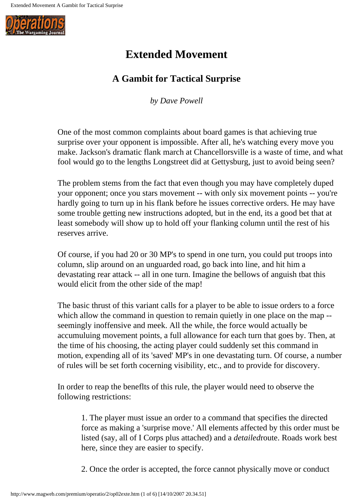<span id="page-6-0"></span>

## **Extended Movement**

### **A Gambit for Tactical Surprise**

*by Dave Powell*

One of the most common complaints about board games is that achieving true surprise over your opponent is impossible. After all, he's watching every move you make. Jackson's dramatic flank march at Chancellorsville is a waste of time, and what fool would go to the lengths Longstreet did at Gettysburg, just to avoid being seen?

The problem stems from the fact that even though you may have completely duped your opponent; once you stars movement -- with only six movement points -- you're hardly going to turn up in his flank before he issues corrective orders. He may have some trouble getting new instructions adopted, but in the end, its a good bet that at least somebody will show up to hold off your flanking column until the rest of his reserves arrive.

Of course, if you had 20 or 30 MP's to spend in one turn, you could put troops into column, slip around on an unguarded road, go back into line, and hit him a devastating rear attack -- all in one turn. Imagine the bellows of anguish tbat this would elicit from the other side of the map!

The basic thrust of this variant calls for a player to be able to issue orders to a force which allow the command in question to remain quietly in one place on the map -seemingly inoffensive and meek. All the while, the force would actually be accumuluing movement points, a full allowance for each turn that goes by. Then, at the time of his choosing, the acting player could suddenly set this command in motion, expending all of its 'saved' MP's in one devastating turn. Of course, a number of rules will be set forth cocerning visibility, etc., and to provide for discovery.

In order to reap the beneflts of this rule, the player would need to observe the following restrictions:

1. The player must issue an order to a command that specifies the directed force as making a 'surprise move.' All elements affected by this order must be listed (say, all of I Corps plus attached) and a *detailed*route. Roads work best here, since they are easier to specify.

2. Once the order is accepted, the force cannot physically move or conduct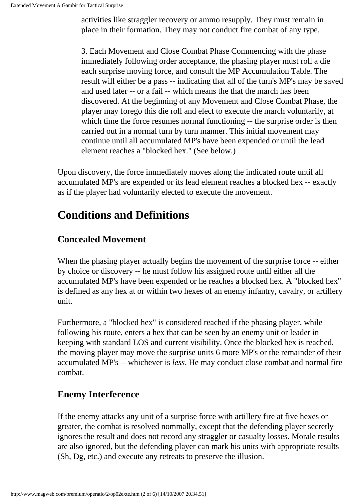activities like straggler recovery or ammo resupply. They must remain in place in their formation. They may not conduct fire combat of any type.

3. Each Movement and Close Combat Phase Commencing with the phase immediately following order acceptance, the phasing player must roll a die each surprise moving force, and consult the MP Accumulation Table. The result will either be a pass -- indicating that all of the turn's MP's may be saved and used later -- or a fail -- which means the that the march has been discovered. At the beginning of any Movement and Close Combat Phase, the player may forego this die roll and elect to execute the march voluntarily, at which time the force resumes normal functioning -- the surprise order is then carried out in a normal turn by turn manner. This initial movement may continue until all accumulated MP's have been expended or until the lead element reaches a "blocked hex." (See below.)

Upon discovery, the force immediately moves along the indicated route until all accumulated MP's are expended or its lead element reaches a blocked hex -- exactly as if the player had voluntarily elected to execute the movement.

## **Conditions and Definitions**

### **Concealed Movement**

When the phasing player actually begins the movement of the surprise force -- either by choice or discovery -- he must follow his assigned route until either all the accumulated MP's have been expended or he reaches a blocked hex. A "blocked hex" is defined as any hex at or within two hexes of an enemy infantry, cavalry, or artillery unit.

Furthermore, a "blocked hex" is considered reached if the phasing player, while following his route, enters a hex that can be seen by an enemy unit or leader in keeping with standard LOS and current visibility. Once the blocked hex is reached, the moving player may move the surprise units 6 more MP's or the remainder of their accumulated MP's -- whichever is *less*. He may conduct close combat and normal fire combat.

#### **Enemy Interference**

If the enemy attacks any unit of a surprise force with artillery fire at five hexes or greater, the combat is resolved nommally, except that the defending player secretly ignores the result and does not record any straggler or casualty losses. Morale results are also ignored, but the defending player can mark his units with appropriate results (Sh, Dg, etc.) and execute any retreats to preserve the illusion.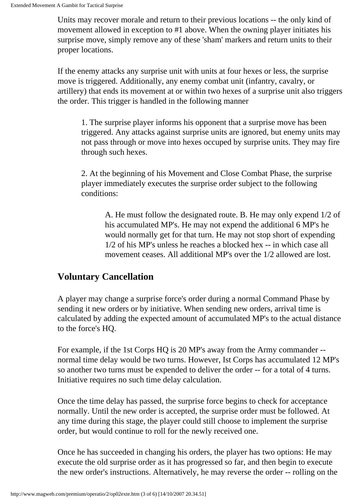Units may recover morale and return to their previous locations -- the only kind of movement allowed in exception to #1 above. When the owning player initiates his surprise move, simply remove any of these 'sham' markers and return units to their proper locations.

If the enemy attacks any surprise unit with units at four hexes or less, the surprise move is triggered. Additionally, any enemy combat unit (infantry, cavalry, or artillery) that ends its movement at or within two hexes of a surprise unit also triggers the order. This trigger is handled in the following manner

1. The surprise player informs his opponent that a surprise move has been triggered. Any attacks against surprise units are ignored, but enemy units may not pass through or move into hexes occuped by surprise units. They may fire through such hexes.

2. At the beginning of his Movement and Close Combat Phase, the surprise player immediately executes the surprise order subject to the following conditions:

A. He must follow the designated route. B. He may only expend 1/2 of his accumulated MP's. He may not expend the additional 6 MP's he would normally get for that turn. He may not stop short of expending 1/2 of his MP's unless he reaches a blocked hex -- in which case all movement ceases. All additional MP's over the 1/2 allowed are lost.

#### **Voluntary Cancellation**

A player may change a surprise force's order during a normal Command Phase by sending it new orders or by initiative. When sending new orders, arrival time is calculated by adding the expected amount of accumulated MP's to the actual distance to the force's HQ.

For example, if the 1st Corps HQ is 20 MP's away from the Army commander - normal time delay would be two turns. However, Ist Corps has accumulated 12 MP's so another two turns must be expended to deliver the order -- for a total of 4 turns. Initiative requires no such time delay calculation.

Once the time delay has passed, the surprise force begins to check for acceptance normally. Until the new order is accepted, the surprise order must be followed. At any time during this stage, the player could still choose to implement the surprise order, but would continue to roll for the newly received one.

Once he has succeeded in changing his orders, the player has two options: He may execute the old surprise order as it has progressed so far, and then begin to execute the new order's instructions. Alternatively, he may reverse the order -- rolling on the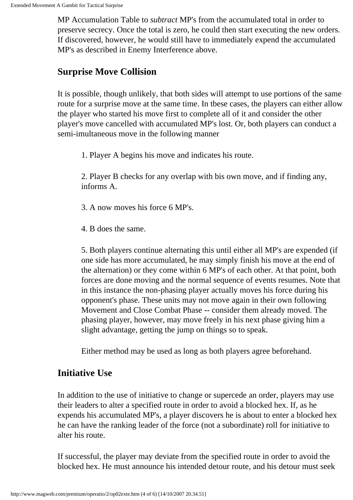MP Accumulation Table to *subtract* MP's from the accumulated total in order to preserve secrecy. Once the total is zero, he could then start executing the new orders. If discovered, however, he would still have to immediately expend the accumulated MP's as described in Enemy Interference above.

#### **Surprise Move Collision**

It is possible, though unlikely, that both sides will attempt to use portions of the same route for a surprise move at the same time. In tbese cases, the players can either allow the player who started his move first to complete all of it and consider the other player's move cancelled with accumulated MP's lost. Or, both players can conduct a semi-imultaneous move in the following manner

1. Player A begins his move and indicates his route.

2. Player B checks for any overlap with bis own move, and if finding any, informs A.

- 3. A now moves his force 6 MP's.
- 4. B does the same.

5. Both players continue alternating this until either all MP's are expended (if one side has more accumulated, he may simply finish his move at the end of the alternation) or they come within 6 MP's of each other. At that point, both forces are done moving and the normal sequence of events resumes. Note that in this instance the non-phasing player actually moves his force during his opponent's phase. These units may not move again in their own following Movement and Close Combat Phase -- consider them already moved. The phasing player, however, may move freely in his next phase giving him a slight advantage, getting the jump on things so to speak.

Either method may be used as long as both players agree beforehand.

#### **Initiative Use**

In addition to the use of initiative to change or supercede an order, players may use their leaders to alter a specified route in order to avoid a blocked hex. If, as he expends his accumulated MP's, a player discovers he is about to enter a blocked hex he can have the ranking leader of the force (not a subordinate) roll for initiative to alter his route.

If successful, the player may deviate from the specified route in order to avoid the blocked hex. He must announce his intended detour route, and his detour must seek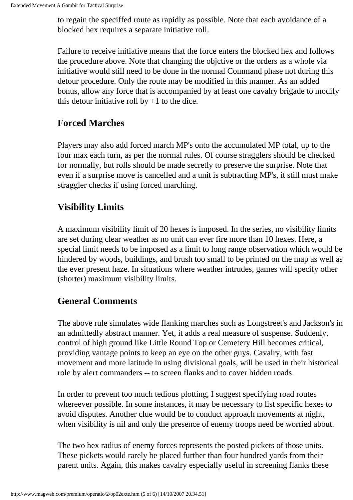to regain the speciffed route as rapidly as possible. Note that each avoidance of a blocked hex requires a separate initiative roll.

Failure to receive initiative means that the force enters the blocked hex and follows the procedure above. Note that changing the objctive or the orders as a whole via initiative would still need to be done in the normal Command phase not during this detour procedure. Only the route may be modified in this manner. As an added bonus, allow any force that is accompanied by at least one cavalry brigade to modify this detour initiative roll by  $+1$  to the dice.

#### **Forced Marches**

Players may also add forced march MP's onto the accumulated MP total, up to the four max each turn, as per the normal rules. Of course stragglers should be checked for normally, but rolls should be made secretly to preserve the surprise. Note that even if a surprise move is cancelled and a unit is subtracting MP's, it still must make straggler checks if using forced marching.

### **Visibility Limits**

A maximum visibility limit of 20 hexes is imposed. In the series, no visibility limits are set during clear weather as no unit can ever fire more than 10 hexes. Here, a special limit needs to be imposed as a limit to long range observation which would be hindered by woods, buildings, and brush too small to be printed on the map as well as the ever present haze. In situations where weather intrudes, games will specify other (shorter) maximum visibility limits.

#### **General Comments**

The above rule simulates wide flanking marches such as Longstreet's and Jackson's in an admittedly abstract manner. Yet, it adds a real measure of suspense. Suddenly, control of high ground like Little Round Top or Cemetery Hill becomes critical, providing vantage points to keep an eye on the other guys. Cavalry, with fast movement and more latitude in using divisional goals, will be used in their historical role by alert commanders -- to screen flanks and to cover hidden roads.

In order to prevent too much tedious plotting, I suggest specifying road routes whereever possible. In some instances, it may be necessary to list specific hexes to avoid disputes. Another clue would be to conduct approach movements at night, when visibility is nil and only the presence of enemy troops need be worried about.

The two hex radius of enemy forces represents the posted pickets of those units. These pickets would rarely be placed further than four hundred yards from their parent units. Again, this makes cavalry especially useful in screening flanks these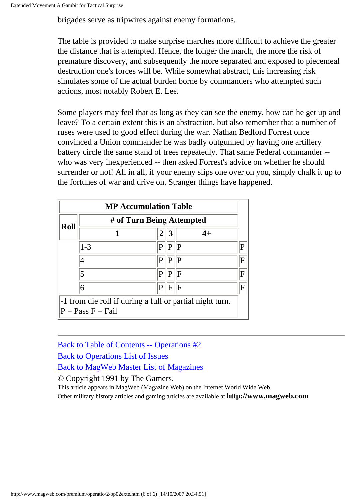brigades serve as tripwires against enemy formations.

The table is provided to make surprise marches more difficult to achieve the greater the distance that is attempted. Hence, the longer the march, the more the risk of premature discovery, and subsequently the more separated and exposed to piecemeal destruction one's forces will be. While somewhat abstract, this increasing risk simulates some of the actual burden borne by commanders who attempted such actions, most notably Robert E. Lee.

Some players may feel that as long as they can see the enemy, how can he get up and leave? To a certain extent this is an abstraction, but also remember that a number of ruses were used to good effect during the war. Nathan Bedford Forrest once convinced a Union commander he was badly outgunned by having one artillery battery circle the same stand of trees repeatedly. That same Federal commander - who was very inexperienced -- then asked Forrest's advice on whether he should surrender or not! All in all, if your enemy slips one over on you, simply chalk it up to the fortunes of war and drive on. Stranger things have happened.

| <b>MP Accumulation Table</b>                             |                           |             |           |             |                |
|----------------------------------------------------------|---------------------------|-------------|-----------|-------------|----------------|
| Roll                                                     | # of Turn Being Attempted |             |           |             |                |
|                                                          |                           | 2           | $\vert 3$ | $4+$        |                |
|                                                          | $1 - 3$                   | P           | P         | $ {\bf p} $ | $\mathbf{P}$   |
|                                                          |                           | P           | P  P      |             | $\overline{F}$ |
|                                                          | 5                         | P           | P         | F           | F              |
|                                                          | 6                         | $ {\bf p} $ | F F       |             | $\overline{F}$ |
| -1 from die roll if during a full or partial night turn. |                           |             |           |             |                |
| $P = Pass F = Fail$                                      |                           |             |           |             |                |

[Back to Table of Contents -- Operations #2](#page-0-0) [Back to Operations List of Issues](http://www.magweb.com/premium/operatio/operiss.htm) [Back to MagWeb Master List of Magazines](http://www.magweb.com/premium/maglist.htm)

© Copyright 1991 by The Gamers.

This article appears in MagWeb (Magazine Web) on the Internet World Wide Web. Other military history articles and gaming articles are available at **http://www.magweb.com**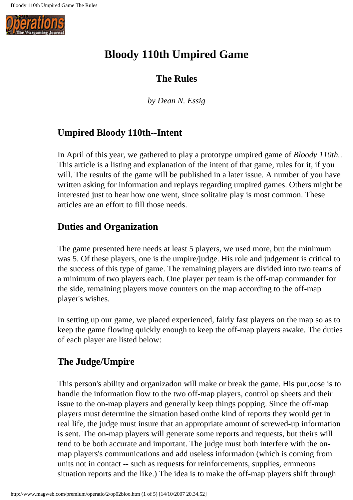<span id="page-12-0"></span>

## **Bloody 110th Umpired Game**

#### **The Rules**

*by Dean N. Essig*

### **Umpired Bloody 110th--Intent**

In April of this year, we gathered to play a prototype umpired game of *Bloody 110th.*. This article is a listing and explanation of the intent of that game, rules for it, if you will. The results of the game will be published in a later issue. A number of you have written asking for information and replays regarding umpired games. Others might be interested just to hear how one went, since solitaire play is most common. These articles are an effort to fill those needs.

### **Duties and Organization**

The game presented here needs at least 5 players, we used more, but the minimum was 5. Of these players, one is the umpire/judge. His role and judgement is critical to the success of this type of game. The remaining players are divided into two teams of a minimum of two players each. One player per team is the off-map commander for the side, remaining players move counters on the map according to the off-map player's wishes.

In setting up our game, we placed experienced, fairly fast players on the map so as to keep the game flowing quickly enough to keep the off-map players awake. The duties of each player are listed below:

### **The Judge/Umpire**

This person's ability and organizadon will make or break the game. His pur,oose is to handle the information flow to the two off-map players, control op sheets and their issue to the on-map players and generally keep things popping. Since the off-map players must determine the situation based onthe kind of reports they would get in real life, the judge must insure that an appropriate amount of screwed-up information is sent. The on-map players will generate some reports and requests, but theirs will tend to be both accurate and important. The judge must both interfere with the onmap players's communications and add useless informadon (which is coming from units not in contact -- such as requests for reinforcements, supplies, ermneous situation reports and the like.) The idea is to make the off-map players shift through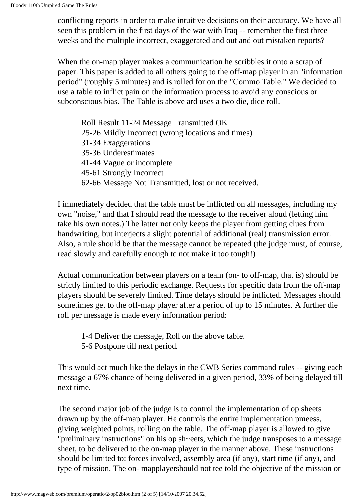conflicting reports in order to make intuitive decisions on their accuracy. We have all seen this problem in the first days of the war with Iraq -- remember the first three weeks and the multiple incorrect, exaggerated and out and out mistaken reports?

When the on-map player makes a communication he scribbles it onto a scrap of paper. This paper is added to all others going to the off-map player in an "information period" (roughly 5 minutes) and is rolled for on the "Commo Table." We decided to use a table to inflict pain on the information process to avoid any conscious or subconscious bias. The Table is above ard uses a two die, dice roll.

Roll Result 11-24 Message Transmitted OK 25-26 Mildly Incorrect (wrong locations and times) 31-34 Exaggerations 35-36 Underestimates 41-44 Vague or incomplete 45-61 Strongly Incorrect 62-66 Message Not Transmitted, lost or not received.

I immediately decided that the table must be inflicted on all messages, including my own "noise," and that I should read the message to the receiver aloud (letting him take his own notes.) The latter not only keeps the player from getting clues from handwriting, but interjects a slight potential of additional (real) transmission error. Also, a rule should be that the message cannot be repeated (the judge must, of course, read slowly and carefully enough to not make it too tough!)

Actual communication between players on a team (on- to off-map, that is) should be strictly limited to this periodic exchange. Requests for specific data from the off-map players should be severely limited. Time delays should be inflicted. Messages should sometimes get to the off-map player after a period of up to 15 minutes. A further die roll per message is made every information period:

1-4 Deliver the message, Roll on the above table.

5-6 Postpone till next period.

This would act much like the delays in the CWB Series command rules -- giving each message a 67% chance of being delivered in a given period, 33% of being delayed till next time.

The second major job of the judge is to control the implementation of op sheets drawn up by the off-map player. He controls the entire implementation pmeess, giving weighted points, rolling on the table. The off-map player is allowed to give "preliminary instructions" on his op sh~eets, which the judge transposes to a message sheet, to bc delivered to the on-map player in the manner above. These instructions should be limited to: forces involved, assembly area (if any), start time (if any), and type of mission. The on- mapplayershould not tee told the objective of the mission or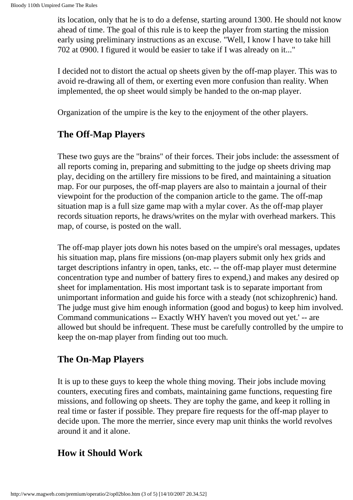its location, only that he is to do a defense, starting around 1300. He should not know ahead of time. The goal of this rule is to keep the player from starting the mission early using preliminary instructions as an excuse. "Well, I know I have to take hill 702 at 0900. I figured it would be easier to take if I was already on it..."

I decided not to distort the actual op sheets given by the off-map player. This was to avoid re-drawing all of them, or exerting even more confusion than reality. When implemented, the op sheet would simply be handed to the on-map player.

Organization of the umpire is the key to the enjoyment of the other players.

#### **The Off-Map Players**

These two guys are the "brains" of their forces. Their jobs include: the assessment of all reports coming in, preparing and submitting to the judge op sheets driving map play, deciding on the artillery fire missions to be fired, and maintaining a situation map. For our purposes, the off-map players are also to maintain a journal of their viewpoint for the production of the companion article to the game. The off-map situation map is a full size game map with a mylar cover. As the off-map player records situation reports, he draws/writes on the mylar with overhead markers. This map, of course, is posted on the wall.

The off-map player jots down his notes based on the umpire's oral messages, updates his situation map, plans fire missions (on-map players submit only hex grids and target descriptions infantry in open, tanks, etc. -- the off-map player must determine concentration type and number of battery fires to expend,) and makes any desired op sheet for implamentation. His most important task is to separate important from unimportant information and guide his force with a steady (not schizophrenic) hand. The judge must give him enough information (good and bogus) to keep him involved. Command communications -- Exactly WHY haven't you moved out yet.' -- are allowed but should be infrequent. These must be carefully controlled by the umpire to keep the on-map player from finding out too much.

#### **The On-Map Players**

It is up to these guys to keep the whole thing moving. Their jobs include moving counters, executing fires and combats, maintaining game functions, requesting fire missions, and following op sheets. They are tophy the game, and keep it rolling in real time or faster if possible. They prepare fire requests for the off-map player to decide upon. The more the merrier, since every map unit thinks the world revolves around it and it alone.

#### **How it Should Work**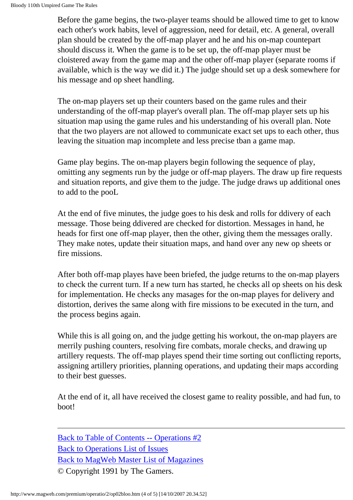Before the game begins, the two-player teams should be allowed time to get to know each other's work habits, level of aggression, need for detail, etc. A general, overall plan should be created by the off-map player and he and his on-map countepart should discuss it. When the game is to be set up, the off-map player must be cloistered away from the game map and the other off-map player (separate rooms if available, which is the way we did it.) The judge should set up a desk somewhere for his message and op sheet handling.

The on-map players set up their counters based on the game rules and their understanding of the off-map player's overall plan. The off-map player sets up his situation map using the game rules and his understanding of his overall plan. Note that the two players are not allowed to communicate exact set ups to each other, thus leaving the situation map incomplete and less precise tban a game map.

Game play begins. The on-map players begin following the sequence of play, omitting any segments run by the judge or off-map players. The draw up fire requests and situation reports, and give them to the judge. The judge draws up additional ones to add to the pooL

At the end of five minutes, the judge goes to his desk and rolls for ddivery of each message. Those being ddivered are checked for distortion. Messages in hand, he heads for first one off-map player, then the other, giving them the messages orally. They make notes, update their situation maps, and hand over any new op sheets or fire missions.

After both off-map playes have been briefed, the judge returns to the on-map players to check the current turn. If a new turn has started, he checks all op sheets on his desk for implementation. He checks any masages for the on-map playes for delivery and distortion, derives the same along with fire missions to be executed in the turn, and the process begins again.

While this is all going on, and the judge getting his workout, the on-map players are merrily pushing counters, resolving fire combats, morale checks, and drawing up artillery requests. The off-map playes spend their time sorting out conflicting reports, assigning artillery priorities, planning operations, and updating their maps according to their best guesses.

At the end of it, all have received the closest game to reality possible, and had fun, to boot!

[Back to Table of Contents -- Operations #2](#page-0-0) [Back to Operations List of Issues](http://www.magweb.com/premium/operatio/operiss.htm) [Back to MagWeb Master List of Magazines](http://www.magweb.com/premium/maglist.htm) © Copyright 1991 by The Gamers.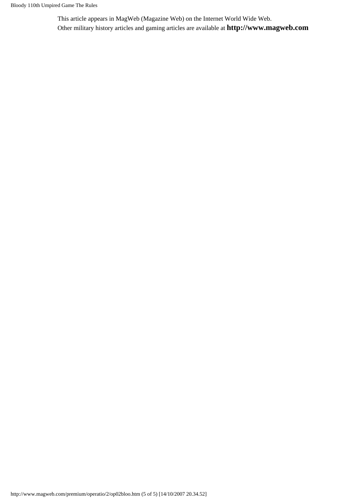This article appears in MagWeb (Magazine Web) on the Internet World Wide Web. Other military history articles and gaming articles are available at **http://www.magweb.com**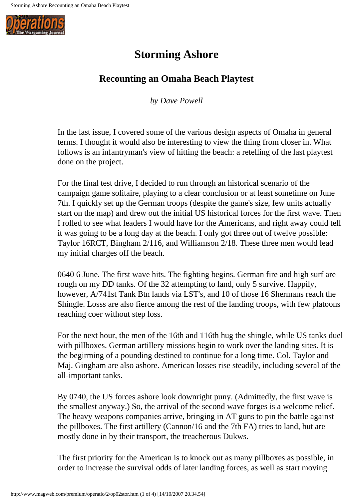<span id="page-17-0"></span>

## **Storming Ashore**

### **Recounting an Omaha Beach Playtest**

*by Dave Powell*

In the last issue, I covered some of the various design aspects of Omaha in general terms. I thought it would also be interesting to view the thing from closer in. What follows is an infantryman's view of hitting the beach: a retelling of the last playtest done on the project.

For the final test drive, I decided to run through an historical scenario of the campaign game solitaire, playing to a clear conclusion or at least sometime on June 7th. I quickly set up the German troops (despite the game's size, few units actually start on the map) and drew out the initial US historical forces for the first wave. Then I rolled to see what leaders I would have for the Americans, and right away could tell it was going to be a long day at the beach. I only got three out of twelve possible: Taylor 16RCT, Bingham 2/116, and Williamson 2/18. These three men would lead my initial charges off the beach.

0640 6 June. The first wave hits. The fighting begins. German fire and high surf are rough on my DD tanks. Of the 32 attempting to land, only 5 survive. Happily, however, A/741st Tank Btn lands via LST's, and 10 of those 16 Shermans reach the Shingle. Losss are also fierce among the rest of the landing troops, with few platoons reaching coer without step loss.

For the next hour, the men of the 16th and 116th hug the shingle, while US tanks duel with pillboxes. German artillery missions begin to work over the landing sites. It is the begirming of a pounding destined to continue for a long time. Col. Taylor and Maj. Gingham are also ashore. American losses rise steadily, including several of the all-important tanks.

By 0740, the US forces ashore look downright puny. (Admittedly, the first wave is the smallest anyway.) So, the arrival of the second wave forges is a welcome relief. The heavy weapons companies arrive, bringing in AT guns to pin the battle against the pillboxes. The first artillery (Cannon/16 and the 7th FA) tries to land, but are mostly done in by their transport, the treacherous Dukws.

The first priority for the American is to knock out as many pillboxes as possible, in order to increase the survival odds of later landing forces, as well as start moving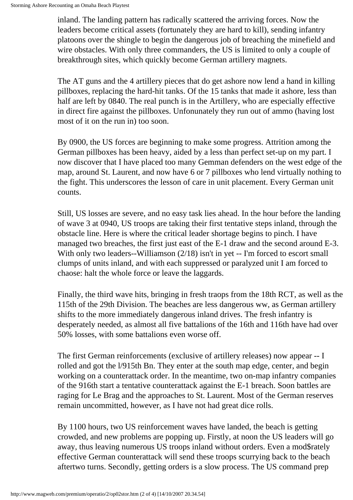inland. The landing pattern has radically scattered the arriving forces. Now the leaders become critical assets (fortunately they are hard to kill), sending infantry platoons over the shingle to begin the dangerous job of breaching the minefield and wire obstacles. With only three commanders, the US is limited to only a couple of breakthrough sites, which quickly become German artillery magnets.

The AT guns and the 4 artillery pieces that do get ashore now lend a hand in killing pillboxes, replacing the hard-hit tanks. Of the 15 tanks that made it ashore, less than half are left by 0840. The real punch is in the Artillery, who are especially effective in direct fire against the pillboxes. Unfonunately they run out of ammo (having lost most of it on the run in) too soon.

By 0900, the US forces are beginning to make some progress. Attrition among the German pillboxes has been heavy, aided by a less than perfect set-up on my part. I now discover that I have placed too many Gemman defenders on the west edge of the map, around St. Laurent, and now have 6 or 7 pillboxes who lend virtually nothing to the fight. This underscores the lesson of care in unit placement. Every German unit counts.

Still, US losses are severe, and no easy task lies ahead. In the hour before the landing of wave 3 at 0940, US troops are taking their first tentative steps inland, through the obstacle line. Here is where the critical leader shortage begins to pinch. I have managed two breaches, the first just east of the E-1 draw and the second around E-3. With only two leaders--Williamson (2/18) isn't in yet -- I'm forced to escort small clumps of units inland, and with each suppressed or paralyzed unit I am forced to chaose: halt the whole force or leave the laggards.

Finally, the third wave hits, bringing in fresh traops from the 18th RCT, as well as the 115th of the 29th Division. The beaches are less dangerous ww, as German artillery shifts to the more immediately dangerous inland drives. The fresh infantry is desperately needed, as almost all five battalions of the 16th and 116th have had over 50% losses, with some battalions even worse off.

The first German reinforcements (exclusive of artillery releases) now appear -- I rolled and got the l/915th Bn. They enter at the south map edge, center, and begin working on a counterattack order. In the meantime, two on-map infantry companies of the 916th start a tentative counterattack against the E-1 breach. Soon battles are raging for Le Brag and the approaches to St. Laurent. Most of the German reserves remain uncommitted, however, as I have not had great dice rolls.

By 1100 hours, two US reinforcement waves have landed, the beach is getting crowded, and new problems are popping up. Firstly, at noon the US leaders will go away, thus leaving numerous US troops inland without orders. Even a mod\$rately effective German counterattack will send these troops scurrying back to the beach aftertwo turns. Secondly, getting orders is a slow process. The US command prep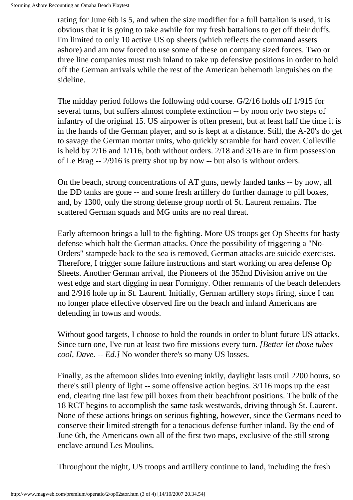rating for June 6tb is 5, and when the size modifier for a full battalion is used, it is obvious that it is going to take awhile for my fresh battalions to get off their duffs. I'm limited to only 10 active US op sheets (which reflects the command assets ashore) and am now forced to use some of these on company sized forces. Two or three line companies must rush inland to take up defensive positions in order to hold off the German arrivals while the rest of the American behemoth languishes on the sideline.

The midday period follows the following odd course. G/2/16 holds off 1/915 for several turns, but suffers almost complete extinction -- by noon orly two steps of infantry of the original 15. US airpower is often present, but at least half the time it is in the hands of the German player, and so is kept at a distance. Still, the A-20's do get to savage the German mortar units, who quickly scramble for hard cover. Colleville is held by 2/16 and 1/116, both without orders. 2/18 and 3/16 are in firm possession of Le Brag -- 2/916 is pretty shot up by now -- but also is without orders.

On the beach, strong concentrations of AT guns, newly landed tanks -- by now, all the DD tanks are gone -- and some fresh artillery do further damage to pill boxes, and, by 1300, only the strong defense group north of St. Laurent remains. The scattered German squads and MG units are no real threat.

Early afternoon brings a lull to the fighting. More US troops get Op Sheetts for hasty defense which halt the German attacks. Once the possibility of triggering a "No-Orders" stampede back to the sea is removed, German attacks are suicide exercises. Therefore, I trigger some failure instructions and start working on area defense Op Sheets. Another German arrival, the Pioneers of the 352nd Division arrive on the west edge and start digging in near Formigny. Other remnants of the beach defenders and 2/916 hole up in St. Laurent. Initially, German artillery stops firing, since I can no longer place effective observed fire on the beach and inland Americans are defending in towns and woods.

Without good targets, I choose to hold the rounds in order to blunt future US attacks. Since turn one, I've run at least two fire missions every turn. *[Better let those tubes cool, Dave. -- Ed.]* No wonder there's so many US losses.

Finally, as the aftemoon slides into evening inkily, daylight lasts until 2200 hours, so there's still plenty of light -- some offensive action begins. 3/116 mops up the east end, clearing tine last few pill boxes from their beachfront positions. The bulk of the 18 RCT begins to accomplish the same task westwards, driving through St. Laurent. None of these actions brings on serious fighting, however, since the Germans need to conserve their limited strength for a tenacious defense further inland. By the end of June 6th, the Americans own all of the first two maps, exclusive of the still strong enclave around Les Moulins.

Throughout the night, US troops and artillery continue to land, including the fresh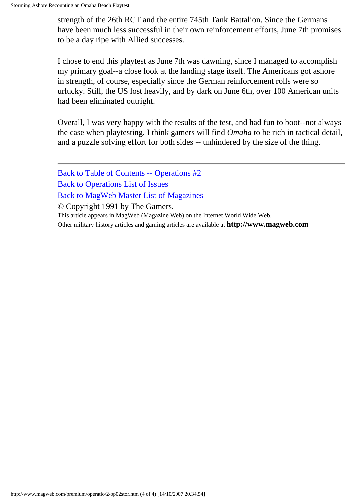strength of the 26th RCT and the entire 745th Tank Battalion. Since the Germans have been much less successful in their own reinforcement efforts, June 7th promises to be a day ripe with Allied successes.

I chose to end this playtest as June 7th was dawning, since I managed to accomplish my primary goal--a close look at the landing stage itself. The Americans got ashore in strength, of course, especially since the German reinforcement rolls were so urlucky. Still, the US lost heavily, and by dark on June 6th, over 100 American units had been eliminated outright.

Overall, I was very happy with the results of the test, and had fun to boot--not always the case when playtesting. I think gamers will find *Omaha* to be rich in tactical detail, and a puzzle solving effort for both sides -- unhindered by the size of the thing.

[Back to Table of Contents -- Operations #2](#page-0-0) [Back to Operations List of Issues](http://www.magweb.com/premium/operatio/operiss.htm) [Back to MagWeb Master List of Magazines](http://www.magweb.com/premium/maglist.htm) © Copyright 1991 by The Gamers. This article appears in MagWeb (Magazine Web) on the Internet World Wide Web.

Other military history articles and gaming articles are available at **http://www.magweb.com**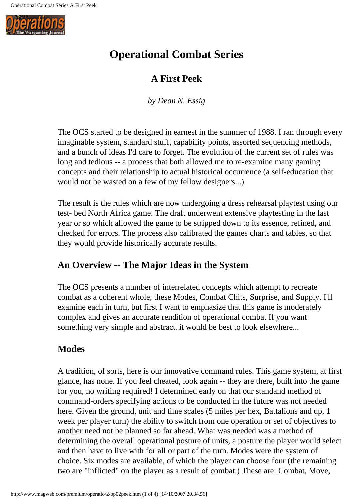<span id="page-21-0"></span>

## **Operational Combat Series**

### **A First Peek**

*by Dean N. Essig*

The OCS started to be designed in earnest in the summer of 1988. I ran through every imaginable system, standard stuff, capability points, assorted sequencing methods, and a bunch of ideas I'd care to forget. The evolution of the current set of rules was long and tedious -- a process that both allowed me to re-examine many gaming concepts and their relationship to actual historical occurrence (a self-education that would not be wasted on a few of my fellow designers...)

The result is the rules which are now undergoing a dress rehearsal playtest using our test- bed North Africa game. The draft underwent extensive playtesting in the last year or so which allowed the game to be stripped down to its essence, refined, and checked for errors. The process also calibrated the games charts and tables, so that they would provide historically accurate results.

### **An Overview -- The Major Ideas in the System**

The OCS presents a number of interrelated concepts which attempt to recreate combat as a coherent whole, these Modes, Combat Chits, Surprise, and Supply. I'll examine each in turn, but first I want to emphasize that this game is moderately complex and gives an accurate rendition of operational combat If you want something very simple and abstract, it would be best to look elsewhere...

### **Modes**

A tradition, of sorts, here is our innovative command rules. This game system, at first glance, has none. If you feel cheated, look again -- they are there, built into the game for you, no writing required! I determined early on that our standand method of command-orders specifying actions to be conducted in the future was not needed here. Given the ground, unit and time scales (5 miles per hex, Battalions and up, 1 week per player turn) the ability to switch from one operation or set of objectives to another need not be planned so far ahead. What was needed was a method of determining the overall operational posture of units, a posture the player would select and then have to live with for all or part of the turn. Modes were the system of choice. Six modes are available, of which the player can choose four (the remaining two are "inflicted" on the player as a result of combat.) These are: Combat, Move,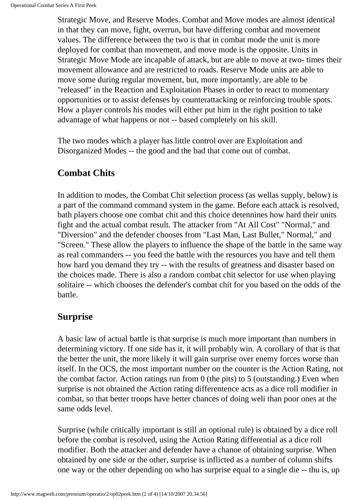Strategic Move, and Reserve Modes. Combat and Move modes are almost identical in that they can move, fight, overrun, but have differing combat and movement values. The difference between the two is that in combat mode the unit is more deployed for combat than movement, and move mode is the opposite. Units in Strategic Move Mode are incapable of attack, but are able to move at two- times their movement allowance and are restricted to roads. Reserve Mode units are able to move some during regular movement, but, more importantly, are able to be "released" in the Reaction and Exploitation Phases in order to react to momentary opportunities or to assist defenses by counterattacking or reinforcing trouble spots. How a player controls his modes will either put him in the right position to take advantage of what happens or not -- based completely on his skill.

The two modes which a player has little control over are Exploitation and Disorganized Modes -- the good and the bad that come out of combat.

#### **Combat Chits**

In addition to modes, the Combat Chit selection process (as wellas supply, below) is a part of the command command system in the game. Before each attack is resolved, bath players choose one combat chit and this choice detennines how hard their units fight and the actual combat result. The attacker from "At All Cost" "Normal," and "Diversion" and the defender chooses from "Last Man, Last Bullet," Normal," and "Screen." These allow the players to influence the shape of the battle in the same way as real commanders -- you feed the battle with the resources you have and tell them how hard you demand they try -- with the results of greatness and disaster based on the choices made. There is also a random combat chit selector for use when playing solitaire -- which chooses the defender's combat chit for you based on the odds of the battle.

#### **Surprise**

A basic law of actual battle is that surprise is much more important than numbers in determining victory. If one side has it, it will probably win. A corollary of that is that the better the unit, the more likely it will gain surprise over enemy forces worse than itself. In the OCS, the most important number on the counter is the Action Rating, not the combat factor. Action ratings run from 0 (the pits) to 5 (outstanding.) Even when surprise is not obtained the Action rating differentence acts as a dice roll modifier in combat, so that better troops have better chances of doing weli than poor ones at the same odds level.

Surprise (while critically important is still an optional rule) is obtained by a dice roll before the combat is resolved, using the Action Rating differential as a dice roll modifier. Both the attacker and defender have a chanoe of obtaining surprise. When obtained by one side or the other, surprise is inflicted as a number of column shifts one way or the other depending on who has surprise equal to a single die -- thu is, up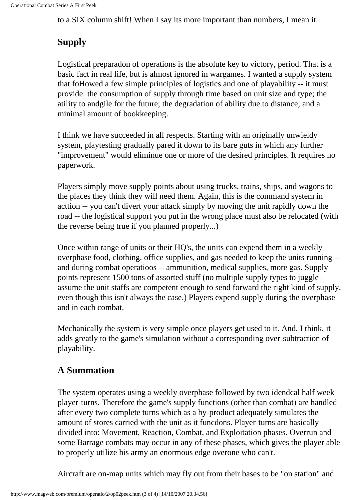to a SIX column shift! When I say its more important than numbers, I mean it.

## **Supply**

Logistical preparadon of operations is the absolute key to victory, period. That is a basic fact in real life, but is almost ignored in wargames. I wanted a supply system that foHowed a few simple principles of logistics and one of playability -- it must provide: the consumption of supply through time based on unit size and type; the atility to andgile for the future; the degradation of ability due to distance; and a minimal amount of bookkeeping.

I think we have succeeded in all respects. Starting with an originally unwieldy system, playtesting gradually pared it down to its bare guts in which any further "improvement" would eliminue one or more of the desired principles. It requires no paperwork.

Players simply move supply points about using trucks, trains, ships, and wagons to the places they think they will need them. Again, this is the command system in acttion -- you can't divert your attack simply by moving the unit rapidly down the road -- the logistical support you put in the wrong place must also be relocated (with the reverse being true if you planned properly...)

Once within range of units or their HQ's, the units can expend them in a weekly overphase food, clothing, office supplies, and gas needed to keep the units running - and during combat operatioos -- ammunition, medical supplies, more gas. Supply points represent 1500 tons of assorted stuff (no multiple supply types to juggle assume the unit staffs are competent enough to send forward the right kind of supply, even though this isn't always the case.) Players expend supply during the overphase and in each combat.

Mechanically the system is very simple once players get used to it. And, I think, it adds greatly to the game's simulation without a corresponding over-subtraction of playability.

### **A Summation**

The system operates using a weekly overphase followed by two idendcal half week player-turns. Therefore the game's supply functions (other than combat) are handled after every two complete turns which as a by-product adequately simulates the amount of stores carried with the unit as it funcdons. Player-turns are basically divided into: Movement, Reaction, Combat, and Exploitation phases. Overrun and some Barrage combats may occur in any of these phases, which gives the player able to properly utilize his army an enormous edge overone who can't.

Aircraft are on-map units which may fly out from their bases to be "on station" and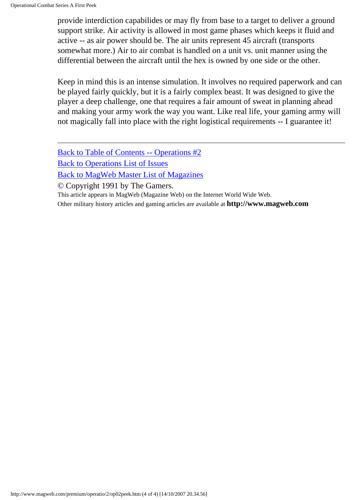provide interdiction capabilides or may fly from base to a target to deliver a ground support strike. Air activity is allowed in most game phases which keeps it fluid and active -- as air power should be. The air units represent 45 aircraft (transports somewhat more.) Air to air combat is handled on a unit vs. unit manner using the differential between the aircraft until the hex is owned by one side or the other.

Keep in mind this is an intense simulation. It involves no required paperwork and can be played fairly quickly, but it is a fairly complex beast. It was designed to give the player a deep challenge, one that requires a fair amount of sweat in planning ahead and making your army work the way you want. Like real life, your gaming army will not magically fall into place with the right logistical requirements -- I guarantee it!

[Back to Table of Contents -- Operations #2](#page-0-0) [Back to Operations List of Issues](http://www.magweb.com/premium/operatio/operiss.htm) [Back to MagWeb Master List of Magazines](http://www.magweb.com/premium/maglist.htm)

© Copyright 1991 by The Gamers.

This article appears in MagWeb (Magazine Web) on the Internet World Wide Web.

Other military history articles and gaming articles are available at **http://www.magweb.com**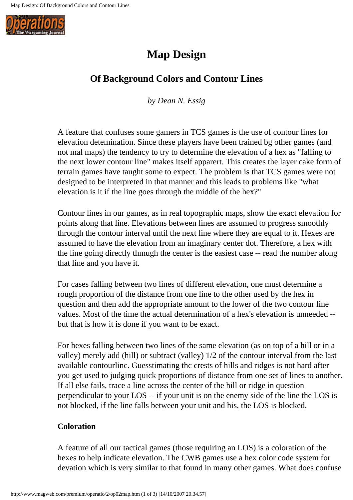<span id="page-25-0"></span>

## **Map Design**

### **Of Background Colors and Contour Lines**

*by Dean N. Essig*

A feature that confuses some gamers in TCS games is the use of contour lines for elevation detemination. Since these players have been trained bg other games (and not mal maps) the tendency to try to determine the elevation of a hex as "falling to the next lower contour line" makes itself apparert. This creates the layer cake form of terrain games have taught some to expect. The problem is that TCS games were not designed to be interpreted in that manner and this leads to problems like "what elevation is it if the line goes through the middle of the hex?"

Contour lines in our games, as in real topographic maps, show the exact elevation for points along that line. Elevations between lines are assumed to progress smoothly through the contour interval until the next line where they are equal to it. Hexes are assumed to have the elevation from an imaginary center dot. Therefore, a hex with the line going directly thmugh the center is the easiest case -- read the number along that line and you have it.

For cases falling between two lines of different elevation, one must determine a rough proportion of the distance from one line to the other used by the hex in question and then add the appropriate amount to the lower of the two contour line values. Most of the time the actual determination of a hex's elevation is unneeded - but that is how it is done if you want to be exact.

For hexes falling between two lines of the same elevation (as on top of a hill or in a valley) merely add (hill) or subtract (valley) 1/2 of the contour interval from the last available contourlinc. Guesstimating thc crests of hills and ridges is not hard after you get used to judging quick proportions of distance from one set of lines to another. If all else fails, trace a line across the center of the hill or ridge in question perpendicular to your LOS -- if your unit is on the enemy side of the line the LOS is not blocked, if the line falls between your unit and his, the LOS is blocked.

#### **Coloration**

A feature of all our tactical games (those requiring an LOS) is a coloration of the hexes to help indicate elevation. The CWB games use a hex color code system for devation which is very similar to that found in many other games. What does confuse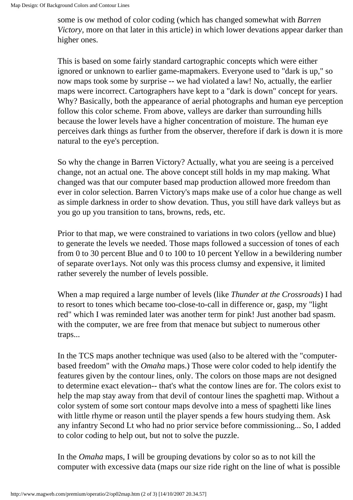some is ow method of color coding (which has changed somewhat with *Barren Victory*, more on that later in this article) in which lower devations appear darker than higher ones.

This is based on some fairly standard cartographic concepts which were either ignored or unknown to earlier game-mapmakers. Everyone used to "dark is up," so now maps took some by surprise -- we had violated a law! No, actually, the earlier maps were incorrect. Cartographers have kept to a "dark is down" concept for years. Why? Basically, both the appearance of aerial photographs and human eye perception follow this color scheme. From above, valleys are darker than surrounding hills because the lower levels have a higher concentration of moisture. The human eye perceives dark things as further from the observer, therefore if dark is down it is more natural to the eye's perception.

So why the change in Barren Victory? Actually, what you are seeing is a perceived change, not an actual one. The above concept still holds in my map making. What changed was that our computer based map production allowed more freedom than ever in color selection. Barren Victory's maps make use of a color hue change as well as simple darkness in order to show devation. Thus, you still have dark valleys but as you go up you transition to tans, browns, reds, etc.

Prior to that map, we were constrained to variations in two colors (yellow and blue) to generate the levels we needed. Those maps followed a succession of tones of each from 0 to 30 percent Blue and 0 to 100 to 10 percent Yellow in a bewildering number of separate over1ays. Not only was this process clumsy and expensive, it limited rather severely the number of levels possible.

When a map required a large number of levels (like *Thunder at the Crossroads*) I had to resort to tones which became too-close-to-call in difference or, gasp, my "light red" which I was reminded later was another term for pink! Just another bad spasm. with the computer, we are free from that menace but subject to numerous other traps...

In the TCS maps another technique was used (also to be altered with the "computerbased freedom" with the *Omaha* maps.) Those were color coded to help identify the features given by the contour lines, only. The colors on those maps are not designed to determine exact elevation-- that's what the contow lines are for. The colors exist to help the map stay away from that devil of contour lines the spaghetti map. Without a color system of some sort contour maps devolve into a mess of spaghetti like lines with little rhyme or reason until the player spends a few hours studying them. Ask any infantry Second Lt who had no prior service before commissioning... So, I added to color coding to help out, but not to solve the puzzle.

In the *Omaha* maps, I will be grouping devations by color so as to not kill the computer with excessive data (maps our size ride right on the line of what is possible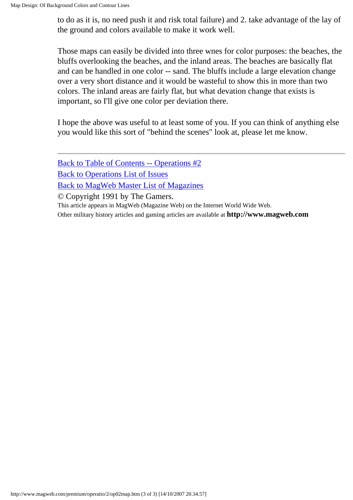to do as it is, no need push it and risk total failure) and 2. take advantage of the lay of the ground and colors available to make it work well.

Those maps can easily be divided into three wnes for color purposes: the beaches, the bluffs overlooking the beaches, and the inland areas. The beaches are basically flat and can be handled in one color -- sand. The bluffs include a large elevation change over a very short distance and it would be wasteful to show this in more than two colors. The inland areas are fairly flat, but what devation change that exists is important, so I'll give one color per deviation there.

I hope the above was useful to at least some of you. If you can think of anything else you would like this sort of "behind the scenes" look at, please let me know.

[Back to Table of Contents -- Operations #2](#page-0-0) [Back to Operations List of Issues](http://www.magweb.com/premium/operatio/operiss.htm) [Back to MagWeb Master List of Magazines](http://www.magweb.com/premium/maglist.htm)

© Copyright 1991 by The Gamers.

This article appears in MagWeb (Magazine Web) on the Internet World Wide Web.

Other military history articles and gaming articles are available at **http://www.magweb.com**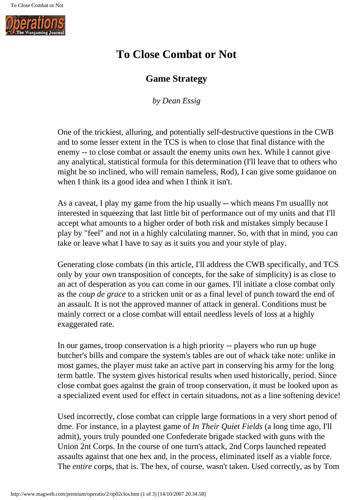<span id="page-28-0"></span>

## **To Close Combat or Not**

#### **Game Strategy**

*by Dean Essig*

One of the trickiest, alluring, and potentially self-destructive questions in the CWB and to some lesser extent in the TCS is when to close that final distance with the enemy -- to close combat or assault the enemy units own hex. While I cannot give any analytical, statistical formula for this determination (I'll leave that to others who might be so inclined, who will remain nameless, Rod), I can give some guidanoe on when I think its a good idea and when I think it isn't.

As a caveat, I play my game from the hip usually -- which means I'm usuallly not interested in squeezing that last little bit of performance out of my units and that I'll accept what amounts to a higher order of both risk and mistakes simply because I play by "feel" and not in a highly calculating manner. So, with that in mind, you can take or leave what I have to say as it suits you and your style of play.

Generating close combats (in this article, I'll address the CWB specifically, and TCS only by your own transposition of concepts, for the sake of simplicity) is as close to an act of desperation as you can come in our games. I'll initiate a close combat only as the *coup de grace* to a stricken unit or as a final level of punch toward the end of an assault. It is not the approved manner of attack in general. Conditions must be mainly correct or a close combat will entail needless levels of loss at a highly exaggerated rate.

In our games, troop conservation is a high priority -- players who run up huge butcher's bills and compare the system's tables are out of whack take note: unlike in most games, the player must take an active part in conserving his army for the long term battle. The system gives historical results when used historically, period. Since close combat goes against the grain of troop conservation, it must be looked upon as a specialized event used for effect in certain situadons, not as a line softening device!

Used incorrectly, close combat can cripple large formations in a very short penod of dme. For instance, in a playtest game of *In Their Quiet Fields* (a long time ago, I'll admit), yours truly pounded one Confederate brigade stacked with guns with the Union 2nt Corps. In the course of one turn's attack, 2nd Corps launched repeated assaults against that one hex and, in the process, eliminated itself as a viable force. The *entire* corps, that is. The hex, of course, wasn't taken. Used correctly, as by Tom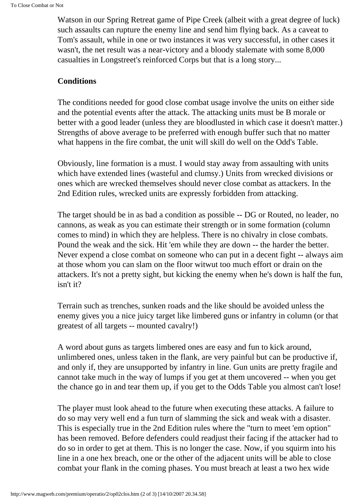Watson in our Spring Retreat game of Pipe Creek (albeit with a great degree of luck) such assaults can rupture the enemy line and send him flying back. As a caveat to Tom's assault, while in one or two instances it was very successful, in other cases it wasn't, the net result was a near-victory and a bloody stalemate with some 8,000 casualties in Longstreet's reinforced Corps but that is a long story...

#### **Conditions**

The conditions needed for good close combat usage involve the units on either side and the potential events after the attack. The attacking units must be B morale or better with a good leader (unless they are bloodlusted in which case it doesn't matter.) Strengths of above average to be preferred with enough buffer such that no matter what happens in the fire combat, the unit will skill do well on the Odd's Table.

Obviously, line formation is a must. I would stay away from assaulting with units which have extended lines (wasteful and clumsy.) Units from wrecked divisions or ones which are wrecked themselves should never close combat as attackers. In the 2nd Edition rules, wrecked units are expressly forbidden from attacking.

The target should be in as bad a condition as possible -- DG or Routed, no leader, no cannons, as weak as you can estimate their strength or in some formation (column comes to mind) in which they are helpless. There is no chivalry in close combats. Pound the weak and the sick. Hit 'em while they are down -- the harder the better. Never expend a close combat on someone who can put in a decent fight -- always aim at those whom you can slam on the floor witwut too much effort or drain on the attackers. It's not a pretty sight, but kicking the enemy when he's down is half the fun, isn't it?

Terrain such as trenches, sunken roads and the like should be avoided unless the enemy gives you a nice juicy target like limbered guns or infantry in column (or that greatest of all targets -- mounted cavalry!)

A word about guns as targets limbered ones are easy and fun to kick around, unlimbered ones, unless taken in the flank, are very painful but can be productive if, and only if, they are unsupported by infantry in line. Gun units are pretty fragile and cannot take much in the way of lumps if you get at them uncovered -- when you get the chance go in and tear them up, if you get to the Odds Table you almost can't lose!

The player must look ahead to the future when executing these attacks. A failure to do so may very well end a fun turn of slamming the sick and weak with a disaster. This is especially true in the 2nd Edition rules where the "turn to meet 'em option" has been removed. Before defenders could readjust their facing if the attacker had to do so in order to get at them. This is no longer the case. Now, if you squirm into his line in a one hex breach, one or the other of the adjacent units will be able to close combat your flank in the coming phases. You must breach at least a two hex wide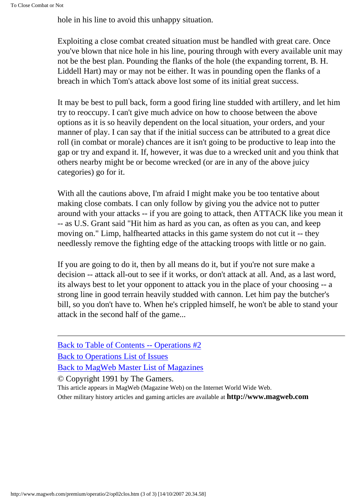hole in his line to avoid this unhappy situation.

Exploiting a close combat created situation must be handled with great care. Once you've blown that nice hole in his line, pouring through with every available unit may not be the best plan. Pounding the flanks of the hole (the expanding torrent, B. H. Liddell Hart) may or may not be either. It was in pounding open the flanks of a breach in which Tom's attack above lost some of its initial great success.

It may be best to pull back, form a good firing line studded with artillery, and let him try to reoccupy. I can't give much advice on how to choose between the above options as it is so heavily dependent on the local situation, your orders, and your manner of play. I can say that if the initial success can be attributed to a great dice roll (in combat or morale) chances are it isn't going to be productive to leap into the gap or try and expand it. If, however, it was due to a wrecked unit and you think that others nearby might be or become wrecked (or are in any of the above juicy categories) go for it.

With all the cautions above, I'm afraid I might make you be too tentative about making close combats. I can only follow by giving you the advice not to putter around with your attacks -- if you are going to attack, then ATTACK like you mean it -- as U.S. Grant said "Hit him as hard as you can, as often as you can, and keep moving on." Limp, halfhearted attacks in this game system do not cut it -- they needlessly remove the fighting edge of the attacking troops with little or no gain.

If you are going to do it, then by all means do it, but if you're not sure make a decision -- attack all-out to see if it works, or don't attack at all. And, as a last word, its always best to let your opponent to attack you in the place of your choosing -- a strong line in good terrain heavily studded with cannon. Let him pay the butcher's bill, so you don't have to. When he's crippled himself, he won't be able to stand your attack in the second half of the game...

[Back to Table of Contents -- Operations #2](#page-0-0) [Back to Operations List of Issues](http://www.magweb.com/premium/operatio/operiss.htm) [Back to MagWeb Master List of Magazines](http://www.magweb.com/premium/maglist.htm) © Copyright 1991 by The Gamers.

This article appears in MagWeb (Magazine Web) on the Internet World Wide Web. Other military history articles and gaming articles are available at **http://www.magweb.com**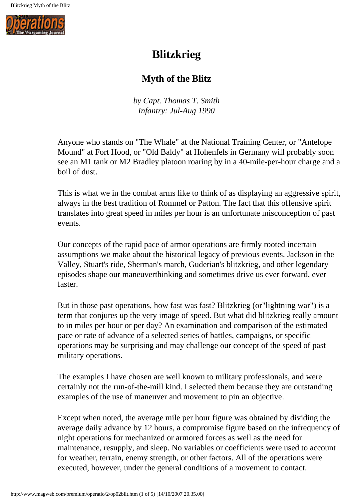<span id="page-31-0"></span>

## **Blitzkrieg**

#### **Myth of the Blitz**

*by Capt. Thomas T. Smith Infantry: Jul-Aug 1990*

Anyone who stands on "The Whale" at the National Training Center, or "Antelope Mound" at Fort Hood, or "Old Baldy" at Hohenfels in Germany will probably soon see an M1 tank or M2 Bradley platoon roaring by in a 40-mile-per-hour charge and a boil of dust.

This is what we in the combat arms like to think of as displaying an aggressive spirit, always in the best tradition of Rommel or Patton. The fact that this offensive spirit translates into great speed in miles per hour is an unfortunate misconception of past events.

Our concepts of the rapid pace of armor operations are firmly rooted incertain assumptions we make about the historical legacy of previous events. Jackson in the Valley, Stuart's ride, Sherman's march, Guderian's blitzkrieg, and other legendary episodes shape our maneuverthinking and sometimes drive us ever forward, ever faster.

But in those past operations, how fast was fast? Blitzkrieg (or"lightning war") is a term that conjures up the very image of speed. But what did blitzkrieg really amount to in miles per hour or per day? An examination and comparison of the estimated pace or rate of advance of a selected series of battles, campaigns, or specific operations may be surprising and may challenge our concept of the speed of past military operations.

The examples I have chosen are well known to military professionals, and were certainly not the run-of-the-mill kind. I selected them because they are outstanding examples of the use of maneuver and movement to pin an objective.

Except when noted, the average mile per hour figure was obtained by dividing the average daily advance by 12 hours, a compromise figure based on the infrequency of night operations for mechanized or armored forces as well as the need for maintenance, resupply, and sleep. No variables or coefficients were used to account for weather, terrain, enemy strength, or other factors. All of the operations were executed, however, under the general conditions of a movement to contact.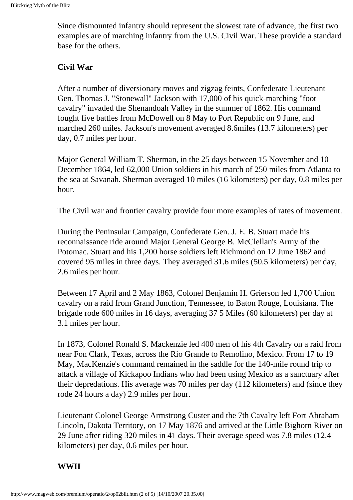Since dismounted infantry should represent the slowest rate of advance, the first two examples are of marching infantry from the U.S. Civil War. These provide a standard base for the others.

#### **Civil War**

After a number of diversionary moves and zigzag feints, Confederate Lieutenant Gen. Thomas J. "Stonewall" Jackson with 17,000 of his quick-marching "foot cavalry" invaded the Shenandoah Valley in the summer of 1862. His command fought five battles from McDowell on 8 May to Port Republic on 9 June, and marched 260 miles. Jackson's movement averaged 8.6miles (13.7 kilometers) per day, 0.7 miles per hour.

Major General William T. Sherman, in the 25 days between 15 November and 10 December 1864, led 62,000 Union soldiers in his march of 250 miles from Atlanta to the sea at Savanah. Sherman averaged 10 miles (16 kilometers) per day, 0.8 miles per hour.

The Civil war and frontier cavalry provide four more examples of rates of movement.

During the Peninsular Campaign, Confederate Gen. J. E. B. Stuart made his reconnaissance ride around Major General George B. McClellan's Army of the Potomac. Stuart and his 1,200 horse soldiers left Richmond on 12 June 1862 and covered 95 miles in three days. They averaged 31.6 miles (50.5 kilometers) per day, 2.6 miles per hour.

Between 17 April and 2 May 1863, Colonel Benjamin H. Grierson led 1,700 Union cavalry on a raid from Grand Junction, Tennessee, to Baton Rouge, Louisiana. The brigade rode 600 miles in 16 days, averaging 37 5 Miles (60 kilometers) per day at 3.1 miles per hour.

In 1873, Colonel Ronald S. Mackenzie led 400 men of his 4th Cavalry on a raid from near Fon Clark, Texas, across the Rio Grande to Remolino, Mexico. From 17 to 19 May, MacKenzie's command remained in the saddle for the 140-mile round trip to attack a village of Kickapoo Indians who had been using Mexico as a sanctuary after their depredations. His average was 70 miles per day (112 kilometers) and (since they rode 24 hours a day) 2.9 miles per hour.

Lieutenant Colonel George Armstrong Custer and the 7th Cavalry left Fort Abraham Lincoln, Dakota Territory, on 17 May 1876 and arrived at the Little Bighorn River on 29 June after riding 320 miles in 41 days. Their average speed was 7.8 miles (12.4 kilometers) per day, 0.6 miles per hour.

#### **WWII**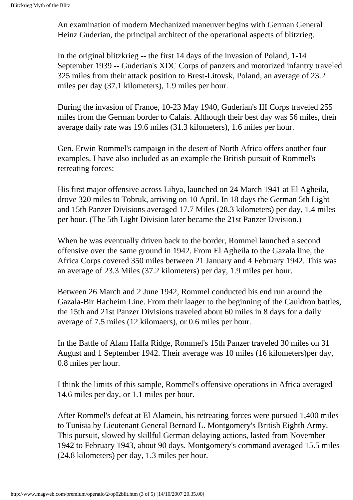An examination of modern Mechanized maneuver begins with German General Heinz Guderian, the principal architect of the operational aspects of blitzrieg.

In the original blitzkrieg -- the first 14 days of the invasion of Poland, 1-14 September 1939 -- Guderian's XDC Corps of panzers and motorized infantry traveled 325 miles from their attack position to Brest-Litovsk, Poland, an average of 23.2 miles per day (37.1 kilometers), 1.9 miles per hour.

During the invasion of Franoe, 10-23 May 1940, Guderian's III Corps traveled 255 miles from the German border to Calais. Although their best day was 56 miles, their average daily rate was 19.6 miles (31.3 kilometers), 1.6 miles per hour.

Gen. Erwin Rommel's campaign in the desert of North Africa offers another four examples. I have also included as an example the British pursuit of Rommel's retreating forces:

His first major offensive across Libya, launched on 24 March 1941 at El Agheila, drove 320 miles to Tobruk, arriving on 10 April. In 18 days the German 5th Light and 15th Panzer Divisions averaged 17.7 Miles (28.3 kilometers) per day, 1.4 miles per hour. (The 5th Light Division later became the 21st Panzer Division.)

When he was eventually driven back to the border, Rommel launched a second offensive over the same ground in 1942. From El Agheila to the Gazala line, the Africa Corps covered 350 miles between 21 January and 4 February 1942. This was an average of 23.3 Miles (37.2 kilometers) per day, 1.9 miles per hour.

Between 26 March and 2 June 1942, Rommel conducted his end run around the Gazala-Bir Hacheim Line. From their laager to the beginning of the Cauldron battles, the 15th and 21st Panzer Divisions traveled about 60 miles in 8 days for a daily average of 7.5 miles (12 kilomaers), or 0.6 miles per hour.

In the Battle of Alam Halfa Ridge, Rommel's 15th Panzer traveled 30 miles on 31 August and 1 September 1942. Their average was 10 miles (16 kilometers)per day, 0.8 miles per hour.

I think the limits of this sample, Rommel's offensive operations in Africa averaged 14.6 miles per day, or 1.1 miles per hour.

After Rommel's defeat at El Alamein, his retreating forces were pursued 1,400 miles to Tunisia by Lieutenant General Bernard L. Montgomery's British Eighth Army. This pursuit, slowed by skillful German delaying actions, lasted from November 1942 to February 1943, about 90 days. Montgomery's command averaged 15.5 miles (24.8 kilometers) per day, 1.3 miles per hour.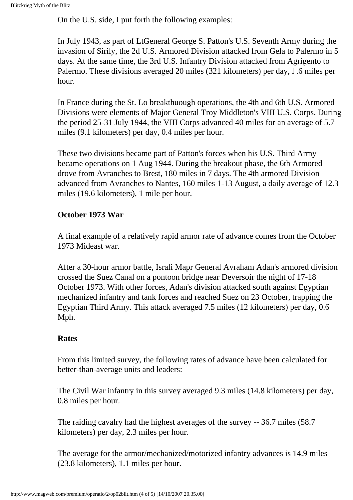On the U.S. side, I put forth the following examples:

In July 1943, as part of LtGeneral George S. Patton's U.S. Seventh Army during the invasion of Sirily, the 2d U.S. Armored Division attacked from Gela to Palermo in 5 days. At the same time, the 3rd U.S. Infantry Division attacked from Agrigento to Palermo. These divisions averaged 20 miles (321 kilometers) per day, l .6 miles per hour.

In France during the St. Lo breakthuough operations, the 4th and 6th U.S. Armored Divisions were elements of Major General Troy Middleton's VIII U.S. Corps. During the period 25-31 July 1944, the VIII Corps advanced 40 miles for an average of 5.7 miles (9.1 kilometers) per day, 0.4 miles per hour.

These two divisions became part of Patton's forces when his U.S. Third Army became operations on 1 Aug 1944. During the breakout phase, the 6th Armored drove from Avranches to Brest, 180 miles in 7 days. The 4th armored Division advanced from Avranches to Nantes, 160 miles 1-13 August, a daily average of 12.3 miles (19.6 kilometers), 1 mile per hour.

#### **October 1973 War**

A final example of a relatively rapid armor rate of advance comes from the October 1973 Mideast war.

After a 30-hour armor battle, Israli Mapr General Avraham Adan's armored division crossed the Suez Canal on a pontoon bridge near Deversoir the night of 17-18 October 1973. With other forces, Adan's division attacked south against Egyptian mechanized infantry and tank forces and reached Suez on 23 October, trapping the Egyptian Third Army. This attack averaged 7.5 miles (12 kilometers) per day, 0.6 Mph.

#### **Rates**

From this limited survey, the following rates of advance have been calculated for better-than-average units and leaders:

The Civil War infantry in this survey averaged 9.3 miles (14.8 kilometers) per day, 0.8 miles per hour.

The raiding cavalry had the highest averages of the survey -- 36.7 miles (58.7 kilometers) per day, 2.3 miles per hour.

The average for the armor/mechanized/motorized infantry advances is 14.9 miles (23.8 kilometers), 1.1 miles per hour.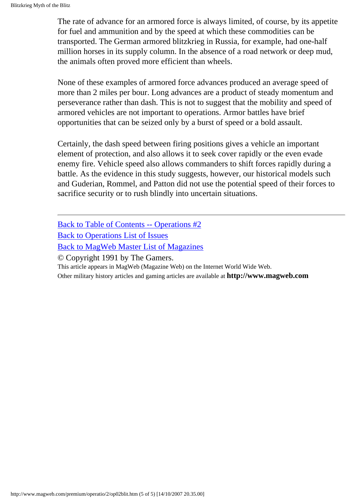The rate of advance for an armored force is always limited, of course, by its appetite for fuel and ammunition and by the speed at which these commodities can be transported. The German armored blitzkrieg in Russia, for example, had one-half million horses in its supply column. In the absence of a road network or deep mud, the animals often proved more efficient than wheels.

None of these examples of armored force advances produced an average speed of more than 2 miles per bour. Long advances are a product of steady momentum and perseverance rather than dash. This is not to suggest that the mobility and speed of armored vehicles are not important to operations. Armor battles have brief opportunities that can be seized only by a burst of speed or a bold assault.

Certainly, the dash speed between firing positions gives a vehicle an important element of protection, and also allows it to seek cover rapidly or the even evade enemy fire. Vehicle speed also allows commanders to shift forces rapidly during a battle. As the evidence in this study suggests, however, our historical models such and Guderian, Rommel, and Patton did not use the potential speed of their forces to sacrifice security or to rush blindly into uncertain situations.

[Back to Table of Contents -- Operations #2](#page-0-0)

[Back to Operations List of Issues](http://www.magweb.com/premium/operatio/operiss.htm)

[Back to MagWeb Master List of Magazines](http://www.magweb.com/premium/maglist.htm)

© Copyright 1991 by The Gamers.

This article appears in MagWeb (Magazine Web) on the Internet World Wide Web.

Other military history articles and gaming articles are available at **http://www.magweb.com**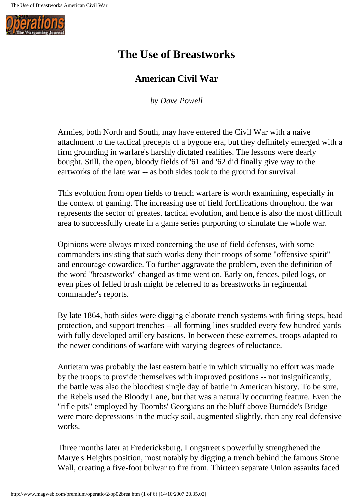

# **The Use of Breastworks**

## **American Civil War**

*by Dave Powell*

Armies, both North and South, may have entered the Civil War with a naive attachment to the tactical precepts of a bygone era, but they definitely emerged with a firm grounding in warfare's harshly dictated realities. The lessons were dearly bought. Still, the open, bloody fields of '61 and '62 did finally give way to the eartworks of the late war -- as both sides took to the ground for survival.

This evolution from open fields to trench warfare is worth examining, especially in the context of gaming. The increasing use of field fortifications throughout the war represents the sector of greatest tactical evolution, and hence is also the most difficult area to successfully create in a game series purporting to simulate the whole war.

Opinions were always mixed concerning the use of field defenses, with some commanders insisting that such works deny their troops of some "offensive spirit" and encourage cowardice. To further aggravate the problem, even the definition of the word "breastworks" changed as time went on. Early on, fences, piled logs, or even piles of felled brush might be referred to as breastworks in regimental commander's reports.

By late 1864, both sides were digging elaborate trench systems with firing steps, head protection, and support trenches -- all forming lines studded every few hundred yards with fully developed artillery bastions. In between these extremes, troops adapted to the newer conditions of warfare with varying degrees of reluctance.

Antietam was probably the last eastern battle in which virtually no effort was made by the troops to provide themselves with improved positions -- not insignificantly, the battle was also the bloodiest single day of battle in American history. To be sure, the Rebels used the Bloody Lane, but that was a naturally occurring feature. Even the "rifle pits" employed by Toombs' Georgians on the bluff above Burndde's Bridge were more depressions in the mucky soil, augmented slightly, than any real defensive works.

Three months later at Fredericksburg, Longstreet's powerfully strengthened the Marye's Heights position, most notably by digging a trench behind the famous Stone Wall, creating a five-foot bulwar to fire from. Thirteen separate Union assaults faced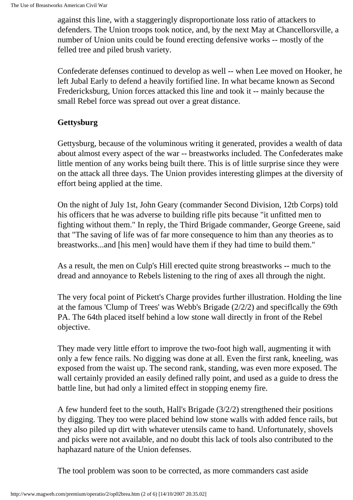against this line, with a staggeringly disproportionate loss ratio of attackers to defenders. The Union troops took notice, and, by the next May at Chancellorsville, a number of Union units could be found erecting defensive works -- mostly of the felled tree and piled brush variety.

Confederate defenses continued to develop as well -- when Lee moved on Hooker, he left Jubal Early to defend a heavily fortified line. In what became known as Second Fredericksburg, Union forces attacked this line and took it -- mainly because the small Rebel force was spread out over a great distance.

#### **Gettysburg**

Gettysburg, because of the voluminous writing it generated, provides a wealth of data about almost every aspect of the war -- breastworks included. The Confederates make little mention of any works being built there. This is of little surprise since they were on the attack all three days. The Union provides interesting glimpes at the diversity of effort being applied at the time.

On the night of July 1st, John Geary (commander Second Division, 12tb Corps) told his officers that he was adverse to building rifle pits because "it unfitted men to fighting without them." In reply, the Third Brigade commander, George Greene, said that "The saving of life was of far more consequence to him than any theories as to breastworks...and [his men] would have them if they had time to build them."

As a result, the men on Culp's Hill erected quite strong breastworks -- much to the dread and annoyance to Rebels listening to the ring of axes all through the night.

The very focal point of Pickett's Charge provides further illustration. Holding the line at the famous 'Clump of Trees' was Webb's Brigade (2/2/2) and speciflcally the 69th PA. The 64th placed itself behind a low stone wall directly in front of the Rebel objective.

They made very little effort to improve the two-foot high wall, augmenting it with only a few fence rails. No digging was done at all. Even the first rank, kneeling, was exposed from the waist up. The second rank, standing, was even more exposed. The wall certainly provided an easily defined rally point, and used as a guide to dress the battle line, but had only a limited effect in stopping enemy fire.

A few hunderd feet to the south, Hall's Brigade (3/2/2) strengthened their positions by digging. They too were placed behind low stone walls with added fence rails, but they also piled up dirt with whatever utensils came to hand. Unfortunately, shovels and picks were not available, and no doubt this lack of tools also contributed to the haphazard nature of the Union defenses.

The tool problem was soon to be corrected, as more commanders cast aside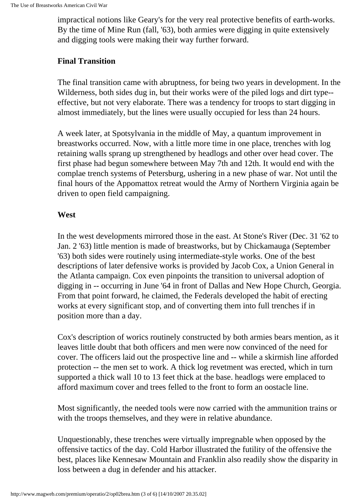impractical notions like Geary's for the very real protective benefits of earth-works. By the time of Mine Run (fall, '63), both armies were digging in quite extensively and digging tools were making their way further forward.

#### **Final Transition**

The final transition came with abruptness, for being two years in development. In the Wilderness, both sides dug in, but their works were of the piled logs and dirt type- effective, but not very elaborate. There was a tendency for troops to start digging in almost immediately, but the lines were usually occupied for less than 24 hours.

A week later, at Spotsylvania in the middle of May, a quantum improvement in breastworks occurred. Now, with a little more time in one place, trenches with log retaining walls sprang up strengthened by headlogs and other over head cover. The first phase had begun somewhere between May 7th and 12th. It would end with the complae trench systems of Petersburg, ushering in a new phase of war. Not until the final hours of the Appomattox retreat would the Army of Northern Virginia again be driven to open field campaigning.

#### **West**

In the west developments mirrored those in the east. At Stone's River (Dec. 31 '62 to Jan. 2 '63) little mention is made of breastworks, but by Chickamauga (September '63) both sides were routinely using intermediate-style works. One of the best descriptions of later defensive works is provided by Jacob Cox, a Union General in the Atlanta campaign. Cox even pinpoints the transition to universal adoption of digging in -- occurring in June '64 in front of Dallas and New Hope Church, Georgia. From that point forward, he claimed, the Federals developed the habit of erecting works at every significant stop, and of converting them into full trenches if in position more than a day.

Cox's description of worics routinely constructed by both armies bears mention, as it leaves little doubt that both officers and men were now convinced of the need for cover. The officers laid out the prospective line and -- while a skirmish line afforded protection -- the men set to work. A thick log revetment was erected, which in turn supported a thick wall 10 to 13 feet thick at the base. headlogs were emplaced to afford maximum cover and trees felled to the front to form an oostacle line.

Most significantly, the needed tools were now carried with the ammunition trains or with the troops themselves, and they were in relative abundance.

Unquestionably, these trenches were virtually impregnable when opposed by the offensive tactics of the day. Cold Harbor illustrated the futility of the offensive the best, places like Kennesaw Mountain and Franklin also readily show the disparity in loss between a dug in defender and his attacker.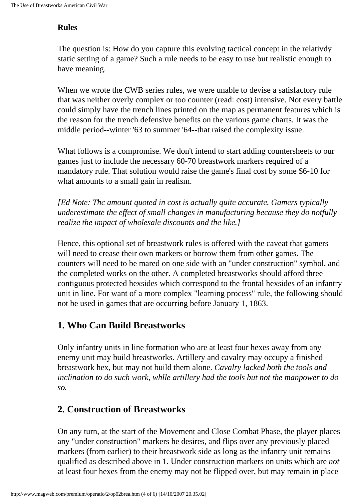#### **Rules**

The question is: How do you capture this evolving tactical concept in the relativdy static setting of a game? Such a rule needs to be easy to use but realistic enough to have meaning.

When we wrote the CWB series rules, we were unable to devise a satisfactory rule that was neither overly complex or too counter (read: cost) intensive. Not every battle could simply have the trench lines printed on the map as permanent features which is the reason for the trench defensive benefits on the various game charts. It was the middle period--winter '63 to summer '64--that raised the complexity issue.

What follows is a compromise. We don't intend to start adding countersheets to our games just to include the necessary 60-70 breastwork markers required of a mandatory rule. That solution would raise the game's final cost by some \$6-10 for what amounts to a small gain in realism.

*[Ed Note: Thc amount quoted in cost is actually quite accurate. Gamers typically underestimate the effect of small changes in manufacturing because they do notfully realize the impact of wholesale discounts and the like.]*

Hence, this optional set of breastwork rules is offered with the caveat that gamers will need to crease their own markers or borrow them from other games. The counters will need to be mared on one side with an "under construction" symbol, and the completed works on the other. A completed breastworks should afford three contiguous protected hexsides which correspond to the frontal hexsides of an infantry unit in line. For want of a more complex "learning process" rule, the following should not be used in games that are occurring before January 1, 1863.

## **1. Who Can Build Breastworks**

Only infantry units in line formation who are at least four hexes away from any enemy unit may build breastworks. Artillery and cavalry may occupy a finished breastwork hex, but may not build them alone. *Cavalry lacked both the tools and inclination to do such work, whlle artillery had the tools but not the manpower to do so.*

## **2. Construction of Breastworks**

On any turn, at the start of the Movement and Close Combat Phase, the player places any "under construction" markers he desires, and flips over any previously placed markers (from earlier) to their breastwork side as long as the infantry unit remains qualified as described above in 1. Under construction markers on units which are *not* at least four hexes from the enemy may not be flipped over, but may remain in place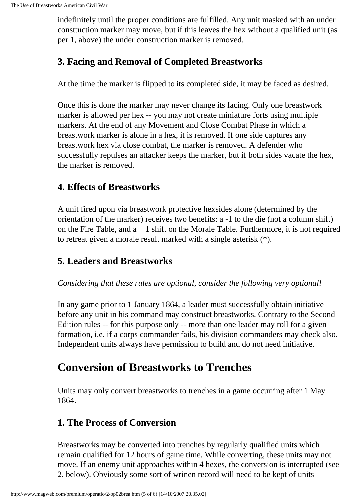indefinitely until the proper conditions are fulfilled. Any unit masked with an under consttuction marker may move, but if this leaves the hex without a qualified unit (as per 1, above) the under construction marker is removed.

## **3. Facing and Removal of Completed Breastworks**

At the time the marker is flipped to its completed side, it may be faced as desired.

Once this is done the marker may never change its facing. Only one breastwork marker is allowed per hex -- you may not create miniature forts using multiple markers. At the end of any Movement and Close Combat Phase in which a breastwork marker is alone in a hex, it is removed. If one side captures any breastwork hex via close combat, the marker is removed. A defender who successfully repulses an attacker keeps the marker, but if both sides vacate the hex, the marker is removed.

### **4. Effects of Breastworks**

A unit fired upon via breastwork protective hexsides alone (determined by the orientation of the marker) receives two benefits: a -1 to the die (not a column shift) on the Fire Table, and  $a + 1$  shift on the Morale Table. Furthermore, it is not required to retreat given a morale result marked with a single asterisk (\*).

## **5. Leaders and Breastworks**

#### *Considering that these rules are optional, consider the following very optional!*

In any game prior to 1 January 1864, a leader must successfully obtain initiative before any unit in his command may construct breastworks. Contrary to the Second Edition rules -- for this purpose only -- more than one leader may roll for a given formation, i.e. if a corps commander fails, his division commanders may check also. Independent units always have permission to build and do not need initiative.

# **Conversion of Breastworks to Trenches**

Units may only convert breastworks to trenches in a game occurring after 1 May 1864.

## **1. The Process of Conversion**

Breastworks may be converted into trenches by regularly qualified units which remain qualified for 12 hours of game time. While converting, these units may not move. If an enemy unit approaches within 4 hexes, the conversion is interrupted (see 2, below). Obviously some sort of wrinen record will need to be kept of units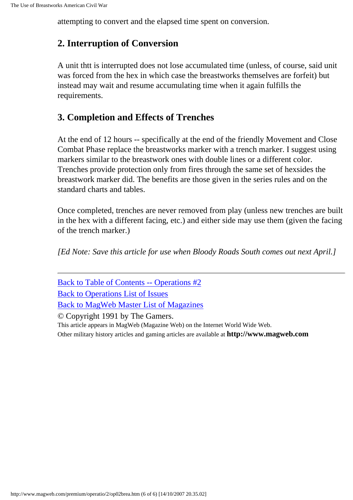attempting to convert and the elapsed time spent on conversion.

#### **2. Interruption of Conversion**

A unit thtt is interrupted does not lose accumulated time (unless, of course, said unit was forced from the hex in which case the breastworks themselves are forfeit) but instead may wait and resume accumulating time when it again fulfills the requirements.

### **3. Completion and Effects of Trenches**

At the end of 12 hours -- specifically at the end of the friendly Movement and Close Combat Phase replace the breastworks marker with a trench marker. I suggest using markers similar to the breastwork ones with double lines or a different color. Trenches provide protection only from fires through the same set of hexsides the breastwork marker did. The benefits are those given in the series rules and on the standard charts and tables.

Once completed, trenches are never removed from play (unless new trenches are built in the hex with a different facing, etc.) and either side may use them (given the facing of the trench marker.)

*[Ed Note: Save this article for use when Bloody Roads South comes out next April.]*

| Back to Table of Contents -- Operations #2                                    |
|-------------------------------------------------------------------------------|
| <b>Back to Operations List of Issues</b>                                      |
| <b>Back to MagWeb Master List of Magazines</b>                                |
| © Copyright 1991 by The Gamers.                                               |
| This article appears in MagWeb (Magazine Web) on the Internet World Wide Web. |

Other military history articles and gaming articles are available at **http://www.magweb.com**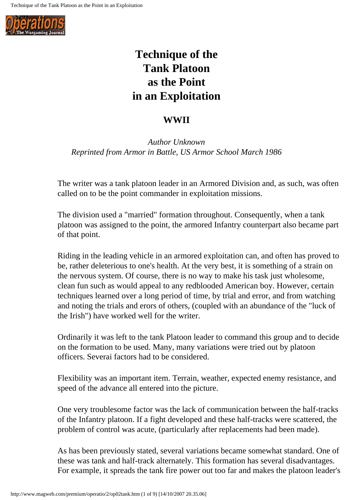

# **Technique of the Tank Platoon as the Point in an Exploitation**

### **WWII**

*Author Unknown Reprinted from Armor in Battle, US Armor School March 1986*

The writer was a tank platoon leader in an Armored Division and, as such, was often called on to be the point commander in exploitation missions.

The division used a "married" formation throughout. Consequently, when a tank platoon was assigned to the point, the armored Infantry counterpart also became part of that point.

Riding in the leading vehicle in an armored exploitation can, and often has proved to be, rather deleterious to one's health. At the very best, it is something of a strain on the nervous system. Of course, there is no way to make his task just wholesome, clean fun such as would appeal to any redblooded American boy. However, certain techniques learned over a long period of time, by trial and error, and from watching and noting the trials and erors of others, (coupled with an abundance of the "luck of the Irish") have worked well for the writer.

Ordinarily it was left to the tank Platoon leader to command this group and to decide on the formation to be used. Many, many variations were tried out by platoon officers. Severai factors had to be considered.

Flexibility was an important item. Terrain, weather, expected enemy resistance, and speed of the advance all entered into the picture.

One very troublesome factor was the lack of communication between the half-tracks of the Infantry platoon. If a fight developed and these half-tracks were scattered, the problem of control was acute, (particularly after replacements had been made).

As has been previously stated, several variations became somewhat standard. One of these was tank and half-track alternately. This formation has several disadvantages. For example, it spreads the tank fire power out too far and makes the platoon leader's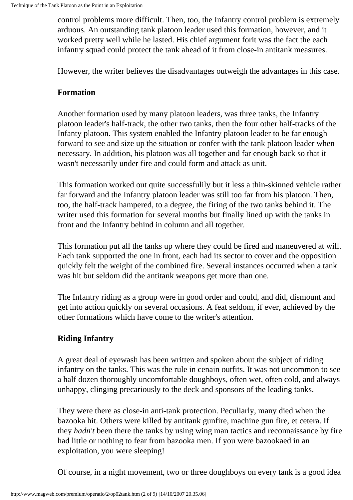control problems more difficult. Then, too, the Infantry control problem is extremely arduous. An outstanding tank platoon leader used this formation, however, and it worked pretty well while he lasted. His chief argument forit was the fact the each infantry squad could protect the tank ahead of it from close-in antitank measures.

However, the writer believes the disadvantages outweigh the advantages in this case.

#### **Formation**

Another formation used by many platoon leaders, was three tanks, the Infantry platoon leader's half-track, the other two tanks, then the four other half-tracks of the Infanty platoon. This system enabled the Infantry platoon leader to be far enough forward to see and size up the situation or confer with the tank platoon leader when necessary. In addition, his platoon was all together and far enough back so that it wasn't necessarily under fire and could form and attack as unit.

This formation worked out quite successfulily but it less a thin-skinned vehicle rather far forward and the Infantry platoon leader was still too far from his platoon. Then, too, the half-track hampered, to a degree, the firing of the two tanks behind it. The writer used this formation for several months but finally lined up with the tanks in front and the Infantry behind in column and all together.

This formation put all the tanks up where they could be fired and maneuvered at will. Each tank supported the one in front, each had its sector to cover and the opposition quickly felt the weight of the combined fire. Several instances occurred when a tank was hit but seldom did the antitank weapons get more than one.

The Infantry riding as a group were in good order and could, and did, dismount and get into action quickly on several occasions. A feat seldom, if ever, achieved by the other formations which have come to the writer's attention.

#### **Riding Infantry**

A great deal of eyewash has been written and spoken about the subject of riding infantry on the tanks. This was the rule in cenain outfits. It was not uncommon to see a half dozen thoroughly uncomfortable doughboys, often wet, often cold, and always unhappy, clinging precariously to the deck and sponsors of the leading tanks.

They were there as close-in anti-tank protection. Peculiarly, many died when the bazooka hit. Others were killed by antitank gunfire, machine gun fire, et cetera. If they *hadn't* been there the tanks by using wing man tactics and reconnaissance by fire had little or nothing to fear from bazooka men. If you were bazookaed in an exploitation, you were sleeping!

Of course, in a night movement, two or three doughboys on every tank is a good idea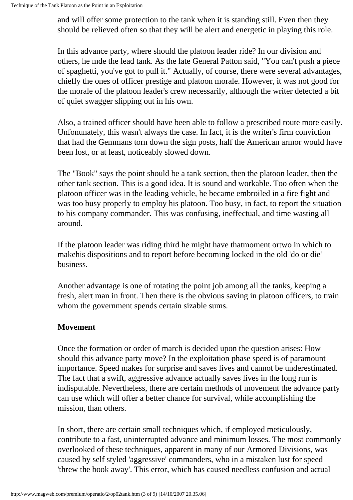and will offer some protection to the tank when it is standing still. Even then they should be relieved often so that they will be alert and energetic in playing this role.

In this advance party, where should the platoon leader ride? In our division and others, he mde the lead tank. As the late General Patton said, "You can't push a piece of spaghetti, you've got to pull it." Actually, of course, there were several advantages, chiefly the ones of officer prestige and platoon morale. However, it was not good for the morale of the platoon leader's crew necessarily, although the writer detected a bit of quiet swagger slipping out in his own.

Also, a trained officer should have been able to follow a prescribed route more easily. Unfonunately, this wasn't always the case. In fact, it is the writer's firm conviction that had the Gemmans torn down the sign posts, half the American armor would have been lost, or at least, noticeably slowed down.

The "Book" says the point should be a tank section, then the platoon leader, then the other tank section. This is a good idea. It is sound and workable. Too often when the platoon officer was in the leading vehicle, he became embroiled in a fire fight and was too busy properly to employ his platoon. Too busy, in fact, to report the situation to his company commander. This was confusing, ineffectual, and time wasting all around.

If the platoon leader was riding third he might have thatmoment ortwo in which to makehis dispositions and to report before becoming locked in the old 'do or die' business.

Another advantage is one of rotating the point job among all the tanks, keeping a fresh, alert man in front. Then there is the obvious saving in platoon officers, to train whom the government spends certain sizable sums.

#### **Movement**

Once the formation or order of march is decided upon the question arises: How should this advance party move? In the exploitation phase speed is of paramount importance. Speed makes for surprise and saves lives and cannot be underestimated. The fact that a swift, aggressive advance actually saves lives in the long run is indisputable. Nevertheless, there are certain methods of movement the advance party can use which will offer a better chance for survival, while accomplishing the mission, than others.

In short, there are certain small techniques which, if employed meticulously, contribute to a fast, uninterrupted advance and minimum losses. The most commonly overlooked of these techniques, apparent in many of our Armored Divisions, was caused by self styled 'aggressive' commanders, who in a mistaken lust for speed 'threw the book away'. This error, which has caused needless confusion and actual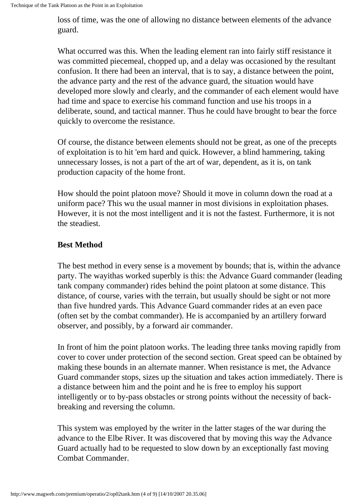loss of time, was the one of allowing no distance between elements of the advance guard.

What occurred was this. When the leading element ran into fairly stiff resistance it was committed piecemeal, chopped up, and a delay was occasioned by the resultant confusion. It there had been an interval, that is to say, a distance between the point, the advance party and the rest of the advance guard, the situation would have developed more slowly and clearly, and the commander of each element would have had time and space to exercise his command function and use his troops in a deliberate, sound, and tactical manner. Thus he could have brought to bear the force quickly to overcome the resistance.

Of course, the distance between elements should not be great, as one of the precepts of exploitation is to hit 'em hard and quick. However, a blind hammering, taking unnecessary losses, is not a part of the art of war, dependent, as it is, on tank production capacity of the home front.

How should the point platoon move? Should it move in column down the road at a uniform pace? This wu the usual manner in most divisions in exploitation phases. However, it is not the most intelligent and it is not the fastest. Furthermore, it is not the steadiest.

#### **Best Method**

The best method in every sense is a movement by bounds; that is, within the advance party. The wayithas worked superbly is this: the Advance Guard commander (leading tank company commander) rides behind the point platoon at some distance. This distance, of course, varies with the terrain, but usually should be sight or not more than five hundred yards. This Advance Guard commander rides at an even pace (often set by the combat commander). He is accompanied by an artillery forward observer, and possibly, by a forward air commander.

In front of him the point platoon works. The leading three tanks moving rapidly from cover to cover under protection of the second section. Great speed can be obtained by making these bounds in an alternate manner. When resistance is met, the Advance Guard commander stops, sizes up the situation and takes action immediately. There is a distance between him and the point and he is free to employ his support intelligently or to by-pass obstacles or strong points without the necessity of backbreaking and reversing the column.

This system was employed by the writer in the latter stages of the war during the advance to the Elbe River. It was discovered that by moving this way the Advance Guard actually had to be requested to slow down by an exceptionally fast moving Combat Commander.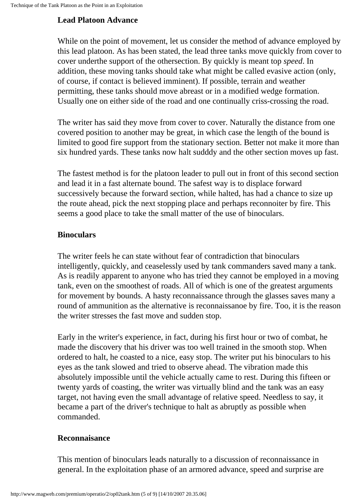#### **Lead Platoon Advance**

While on the point of movement, let us consider the method of advance employed by this lead platoon. As has been stated, the lead three tanks move quickly from cover to cover underthe support of the othersection. By quickly is meant top *speed*. In addition, these moving tanks should take what might be called evasive action (only, of course, if contact is believed imminent). If possible, terrain and weather permitting, these tanks should move abreast or in a modified wedge formation. Usually one on either side of the road and one continually criss-crossing the road.

The writer has said they move from cover to cover. Naturally the distance from one covered position to another may be great, in which case the length of the bound is limited to good fire support from the stationary section. Better not make it more than six hundred yards. These tanks now halt sudddy and the other section moves up fast.

The fastest method is for the platoon leader to pull out in front of this second section and lead it in a fast alternate bound. The safest way is to displace forward successively because the forward section, while halted, has had a chance to size up the route ahead, pick the next stopping place and perhaps reconnoiter by fire. This seems a good place to take the small matter of the use of binoculars.

#### **Binoculars**

The writer feels he can state without fear of contradiction that binoculars intelligently, quickly, and ceaselessly used by tank commanders saved many a tank. As is readily apparent to anyone who has tried they cannot be employed in a moving tank, even on the smoothest of roads. All of which is one of the greatest arguments for movement by bounds. A hasty reconnaissance through the glasses saves many a round of ammunition as the alternative is reconnaissanoe by fire. Too, it is the reason the writer stresses the fast move and sudden stop.

Early in the writer's experience, in fact, during his first hour or two of combat, he made the discovery that his driver was too well trained in the smooth stop. When ordered to halt, he coasted to a nice, easy stop. The writer put his binoculars to his eyes as the tank slowed and tried to observe ahead. The vibration made this absolutely impossible until the vehicle actually came to rest. During this fifteen or twenty yards of coasting, the writer was virtually blind and the tank was an easy target, not having even the small advantage of relative speed. Needless to say, it became a part of the driver's technique to halt as abruptly as possible when commanded.

#### **Reconnaisance**

This mention of binoculars leads naturally to a discussion of reconnaissance in general. In the exploitation phase of an armored advance, speed and surprise are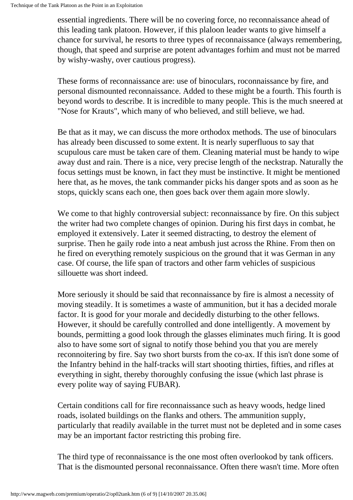essential ingredients. There will be no covering force, no reconnaissance ahead of this leading tank platoon. However, if this plaloon leader wants to give himself a chance for survival, he resorts to three types of reconnaissance (always remembering, though, that speed and surprise are potent advantages forhim and must not be marred by wishy-washy, over cautious progress).

These forms of reconnaissance are: use of binoculars, roconnaissance by fire, and personal dismounted reconnaissance. Added to these might be a fourth. This fourth is beyond words to describe. It is incredible to many people. This is the much sneered at "Nose for Krauts", which many of who believed, and still believe, we had.

Be that as it may, we can discuss the more orthodox methods. The use of binoculars has already been discussed to some extent. It is nearly superfluous to say that scupulous care must be taken care of them. Cleaning material must be handy to wipe away dust and rain. There is a nice, very precise length of the neckstrap. Naturally the focus settings must be known, in fact they must be instinctive. It might be mentioned here that, as he moves, the tank commander picks his danger spots and as soon as he stops, quickly scans each one, then goes back over them again more slowly.

We come to that highly controversial subject: reconnaissance by fire. On this subject the writer had two complete changes of opinion. During his first days in combat, he employed it extensively. Later it seemed distracting, to destroy the element of surprise. Then he gaily rode into a neat ambush just across the Rhine. From then on he fired on everything remotely suspicious on the ground that it was German in any case. Of course, the life span of tractors and other farm vehicles of suspicious sillouette was short indeed.

More seriously it should be said that reconnaissance by fire is almost a necessity of moving steadily. It is sometimes a waste of ammunition, but it has a decided morale factor. It is good for your morale and decidedly disturbing to the other fellows. However, it should be carefully controlled and done intelligently. A movement by bounds, permitting a good look through the glasses eliminates much firing. It is good also to have some sort of signal to notify those behind you that you are merely reconnoitering by fire. Say two short bursts from the co-ax. If this isn't done some of the Infantry behind in the half-tracks will start shooting thirties, fifties, and rifles at everything in sight, thereby thoroughly confusing the issue (which last phrase is every polite way of saying FUBAR).

Certain conditions call for fire reconnaissance such as heavy woods, hedge lined roads, isolated buildings on the flanks and others. The ammunition supply, particularly that readily available in the turret must not be depleted and in some cases may be an important factor restricting this probing fire.

The third type of reconnaissance is the one most often overlookod by tank officers. That is the dismounted personal reconnaissance. Often there wasn't time. More often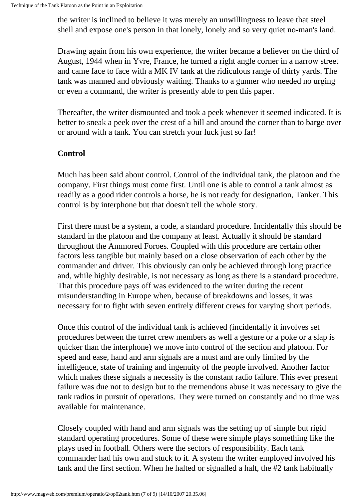the writer is inclined to believe it was merely an unwillingness to leave that steel shell and expose one's person in that lonely, lonely and so very quiet no-man's land.

Drawing again from his own experience, the writer became a believer on the third of August, 1944 when in Yvre, France, he turned a right angle corner in a narrow street and came face to face with a MK IV tank at the ridiculous range of thirty yards. The tank was manned and obviously waiting. Thanks to a gunner who needed no urging or even a command, the writer is presently able to pen this paper.

Thereafter, the writer dismounted and took a peek whenever it seemed indicated. It is better to sneak a peek over the crest of a hill and around the corner than to barge over or around with a tank. You can stretch your luck just so far!

#### **Control**

Much has been said about control. Control of the individual tank, the platoon and the oompany. First things must come first. Until one is able to control a tank almost as readily as a good rider controls a horse, he is not ready for designation, Tanker. This control is by interphone but that doesn't tell the whole story.

First there must be a system, a code, a standard procedure. Incidentally this should be standard in the platoon and the company at least. Actually it should be standard throughout the Ammored Foroes. Coupled with this procedure are certain other factors less tangible but mainly based on a close observation of each other by the commander and driver. This obviously can only be achieved through long practice and, while highly desirable, is not necessary as long as there is a standard procedure. That this procedure pays off was evidenced to the writer during the recent misunderstanding in Europe when, because of breakdowns and losses, it was necessary for to fight with seven entirely different crews for varying short periods.

Once this control of the individual tank is achieved (incidentally it involves set procedures between the turret crew members as well a gesture or a poke or a slap is quicker than the interphone) we move into control of the section and platoon. For speed and ease, hand and arm signals are a must and are only limited by the intelligence, state of training and ingenuity of the people involved. Another factor which makes these signals a necessity is the constant radio failure. This ever present failure was due not to design but to the tremendous abuse it was necessary to give the tank radios in pursuit of operations. They were turned on constantly and no time was available for maintenance.

Closely coupled with hand and arm signals was the setting up of simple but rigid standard operating procedures. Some of these were simple plays something like the plays used in football. Others were the sectors of responsibility. Each tank commander had his own and stuck to it. A system the writer employed involved his tank and the first section. When he halted or signalled a halt, the #2 tank habitually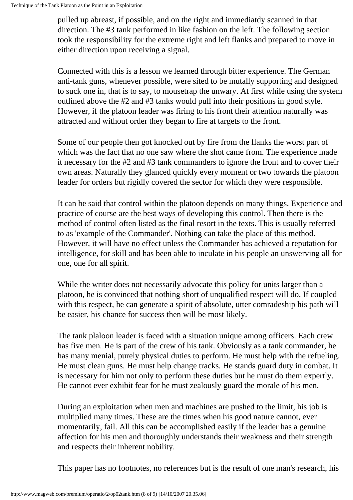pulled up abreast, if possible, and on the right and immediatdy scanned in that direction. The #3 tank performed in like fashion on the left. The following section took the responsibility for the extreme right and left flanks and prepared to move in either direction upon receiving a signal.

Connected with this is a lesson we learned through bitter experience. The German anti-tank guns, whenever possible, were sited to be mutally supporting and designed to suck one in, that is to say, to mousetrap the unwary. At first while using the system outlined above the #2 and #3 tanks would pull into their positions in good style. However, if the platoon leader was firing to his front their attention naturally was attracted and without order they began to fire at targets to the front.

Some of our people then got knocked out by fire from the flanks the worst part of which was the fact that no one saw where the shot came from. The experience made it necessary for the #2 and #3 tank commanders to ignore the front and to cover their own areas. Naturally they glanced quickly every moment or two towards the platoon leader for orders but rigidly covered the sector for which they were responsible.

It can be said that control within the platoon depends on many things. Experience and practice of course are the best ways of developing this control. Then there is the method of control often listed as the final resort in the texts. This is usually referred to as 'example of the Commander'. Nothing can take the place of this method. However, it will have no effect unless the Commander has achieved a reputation for intelligence, for skill and has been able to inculate in his people an unswerving all for one, one for all spirit.

While the writer does not necessarily advocate this policy for units larger than a platoon, he is convinced that nothing short of unqualified respect will do. If coupled with this respect, he can generate a spirit of absolute, utter comradeship his path will be easier, his chance for success then will be most likely.

The tank plaloon leader is faced with a situation unique among officers. Each crew has five men. He is part of the crew of his tank. Obviously as a tank commander, he has many menial, purely physical duties to perform. He must help with the refueling. He must clean guns. He must help change tracks. He stands guard duty in combat. It is necessary for him not only to perform these duties but he must do them expertly. He cannot ever exhibit fear for he must zealously guard the morale of his men.

During an exploitation when men and machines are pushed to the limit, his job is multiplied many times. These are the times when his good nature cannot, ever momentarily, fail. All this can be accomplished easily if the leader has a genuine affection for his men and thoroughly understands their weakness and their strength and respects their inherent nobility.

This paper has no footnotes, no references but is the result of one man's research, his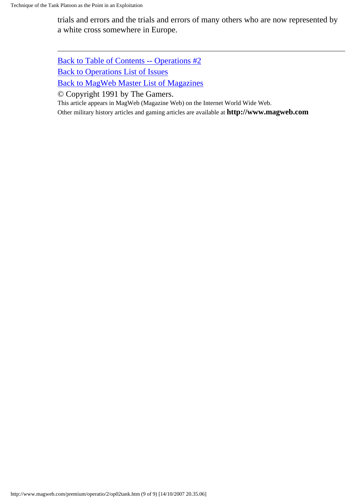trials and errors and the trials and errors of many others who are now represented by a white cross somewhere in Europe.

[Back to Table of Contents -- Operations #2](#page-0-0) [Back to Operations List of Issues](http://www.magweb.com/premium/operatio/operiss.htm) [Back to MagWeb Master List of Magazines](http://www.magweb.com/premium/maglist.htm)

© Copyright 1991 by The Gamers.

This article appears in MagWeb (Magazine Web) on the Internet World Wide Web.

Other military history articles and gaming articles are available at **http://www.magweb.com**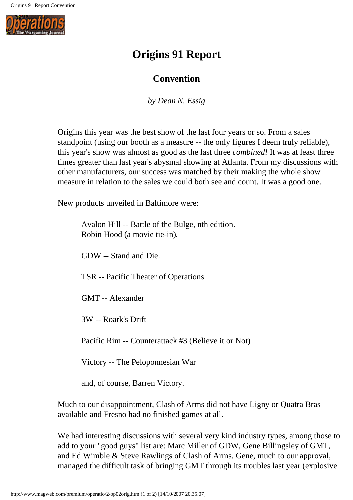

# **Origins 91 Report**

## **Convention**

*by Dean N. Essig*

Origins this year was the best show of the last four years or so. From a sales standpoint (using our booth as a measure -- the only figures I deem truly reliable), this year's show was almost as good as the last three *combined!* It was at least three times greater than last year's abysmal showing at Atlanta. From my discussions with other manufacturers, our success was matched by their making the whole show measure in relation to the sales we could both see and count. It was a good one.

New products unveiled in Baltimore were:

| Avalon Hill -- Battle of the Bulge, nth edition.<br>Robin Hood (a movie tie-in). |
|----------------------------------------------------------------------------------|
| GDW -- Stand and Die.                                                            |
| <b>TSR</b> -- Pacific Theater of Operations                                      |
| <b>GMT</b> -- Alexander                                                          |
| 3W -- Roark's Drift                                                              |
| Pacific Rim -- Counterattack #3 (Believe it or Not)                              |
| Victory -- The Peloponnesian War                                                 |
| and, of course, Barren Victory.                                                  |

Much to our disappointment, Clash of Arms did not have Ligny or Quatra Bras available and Fresno had no finished games at all.

We had interesting discussions with several very kind industry types, among those to add to your "good guys" list are: Marc Miller of GDW, Gene Billingsley of GMT, and Ed Wimble & Steve Rawlings of Clash of Arms. Gene, much to our approval, managed the difficult task of bringing GMT through its troubles last year (explosive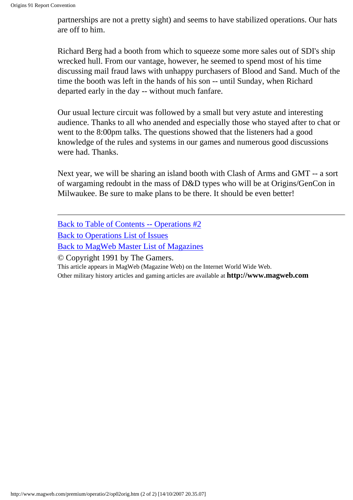partnerships are not a pretty sight) and seems to have stabilized operations. Our hats are off to him.

Richard Berg had a booth from which to squeeze some more sales out of SDI's ship wrecked hull. From our vantage, however, he seemed to spend most of his time discussing mail fraud laws with unhappy purchasers of Blood and Sand. Much of the time the booth was left in the hands of his son -- until Sunday, when Richard departed early in the day -- without much fanfare.

Our usual lecture circuit was followed by a small but very astute and interesting audience. Thanks to all who anended and especially those who stayed after to chat or went to the 8:00pm talks. The questions showed that the listeners had a good knowledge of the rules and systems in our games and numerous good discussions were had. Thanks.

Next year, we will be sharing an island booth with Clash of Arms and GMT -- a sort of wargaming redoubt in the mass of D&D types who will be at Origins/GenCon in Milwaukee. Be sure to make plans to be there. It should be even better!

[Back to Table of Contents -- Operations #2](#page-0-0)

[Back to Operations List of Issues](http://www.magweb.com/premium/operatio/operiss.htm)

[Back to MagWeb Master List of Magazines](http://www.magweb.com/premium/maglist.htm)

© Copyright 1991 by The Gamers.

This article appears in MagWeb (Magazine Web) on the Internet World Wide Web.

Other military history articles and gaming articles are available at **http://www.magweb.com**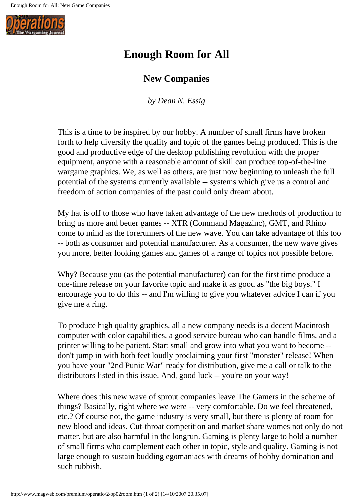

# **Enough Room for All**

## **New Companies**

*by Dean N. Essig*

This is a time to be inspired by our hobby. A number of small firms have broken forth to help diversify the quality and topic of the games being produced. This is the good and productive edge of the desktop publishing revolution with the proper equipment, anyone with a reasonable amount of skill can produce top-of-the-line wargame graphics. We, as well as others, are just now beginning to unleash the full potential of the systems currently available -- systems which give us a control and freedom of action companies of the past could only dream about.

My hat is off to those who have taken advantage of the new methods of production to bring us more and beuer games -- XTR (Command Magazinc), GMT, and Rhino come to mind as the forerunners of the new wave. You can take advantage of this too -- both as consumer and potential manufacturer. As a consumer, the new wave gives you more, better looking games and games of a range of topics not possible before.

Why? Because you (as the potential manufacturer) can for the first time produce a one-time release on your favorite topic and make it as good as "the big boys." I encourage you to do this -- and I'm willing to give you whatever advice I can if you give me a ring.

To produce high quality graphics, all a new company needs is a decent Macintosh computer with color capabilities, a good service bureau who can handle films, and a printer willing to be patient. Start small and grow into what you want to become - don't jump in with both feet loudly proclaiming your first "monster" release! When you have your "2nd Punic War" ready for distribution, give me a call or talk to the distributors listed in this issue. And, good luck -- you're on your way!

Where does this new wave of sprout companies leave The Gamers in the scheme of things? Basically, right where we were -- very comfortable. Do we feel threatened, etc.? Of course not, the game industry is very small, but there is plenty of room for new blood and ideas. Cut-throat competition and market share womes not only do not matter, but are also harmful in thc longrun. Gaming is plenty large to hold a number of small firms who complement each other in topic, style and quality. Gaming is not large enough to sustain budding egomaniacs with dreams of hobby domination and such rubbish.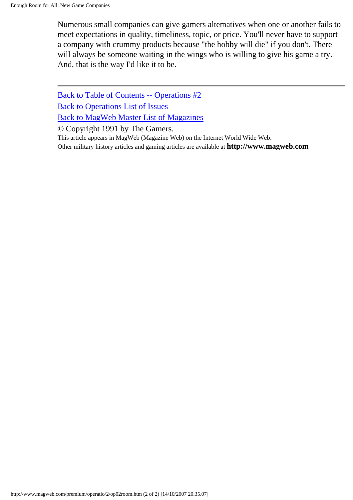Numerous small companies can give gamers altematives when one or another fails to meet expectations in quality, timeliness, topic, or price. You'll never have to support a company with crummy products because "the hobby will die" if you don't. There will always be someone waiting in the wings who is willing to give his game a try. And, that is the way I'd like it to be.

[Back to Table of Contents -- Operations #2](#page-0-0) [Back to Operations List of Issues](http://www.magweb.com/premium/operatio/operiss.htm) [Back to MagWeb Master List of Magazines](http://www.magweb.com/premium/maglist.htm)

© Copyright 1991 by The Gamers.

This article appears in MagWeb (Magazine Web) on the Internet World Wide Web. Other military history articles and gaming articles are available at **http://www.magweb.com**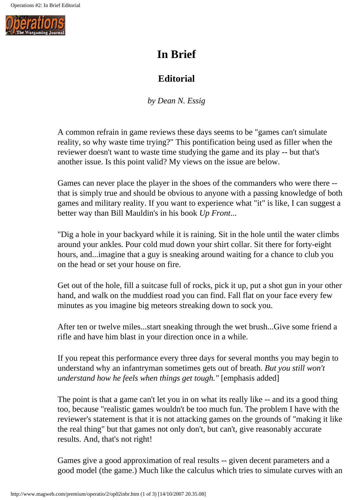

# **In Brief**

# **Editorial**

*by Dean N. Essig*

A common refrain in game reviews these days seems to be "games can't simulate reality, so why waste time trying?" This pontification being used as filler when the reviewer doesn't want to waste time studying the game and its play -- but that's another issue. Is this point valid? My views on the issue are below.

Games can never place the player in the shoes of the commanders who were there - that is simply true and should be obvious to anyone with a passing knowledge of both games and military reality. If you want to experience what "it" is like, I can suggest a better way than Bill Mauldin's in his book *Up Front*...

"Dig a hole in your backyard while it is raining. Sit in the hole until the water climbs around your ankles. Pour cold mud down your shirt collar. Sit there for forty-eight hours, and...imagine that a guy is sneaking around waiting for a chance to club you on the head or set your house on fire.

Get out of the hole, fill a suitcase full of rocks, pick it up, put a shot gun in your other hand, and walk on the muddiest road you can find. Fall flat on your face every few minutes as you imagine big meteors streaking down to sock you.

After ten or twelve miles...start sneaking through the wet brush...Give some friend a rifle and have him blast in your direction once in a while.

If you repeat this performance every three days for several months you may begin to understand why an infantryman sometimes gets out of breath. *But you still won't understand how he feels when things get tough."* [emphasis added]

The point is that a game can't let you in on what its really like -- and its a good thing too, because "realistic games wouldn't be too much fun. The problem I have with the reviewer's statement is that it is not attacking games on the grounds of "making it like the real thing" but that games not only don't, but can't, give reasonably accurate results. And, that's not right!

Games give a good approximation of real results -- given decent parameters and a good model (the game.) Much like the calculus which tries to simulate curves with an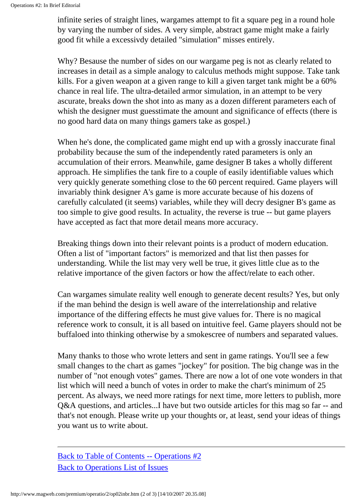infinite series of straight lines, wargames attempt to fit a square peg in a round hole by varying the number of sides. A very simple, abstract game might make a fairly good fit while a excessivdy detailed "simulation" misses entirely.

Why? Besause the number of sides on our wargame peg is not as clearly related to increases in detail as a simple analogy to calculus methods might suppose. Take tank kills. For a given weapon at a given range to kill a given target tank might be a 60% chance in real life. The ultra-detailed armor simulation, in an attempt to be very ascurate, breaks down the shot into as many as a dozen different parameters each of whish the designer must guesstimate the amount and significance of effects (there is no good hard data on many things gamers take as gospel.)

When he's done, the complicated game might end up with a grossly inaccurate final probability because the sum of the independently rated parameters is only an accumulation of their errors. Meanwhile, game designer B takes a wholly different approach. He simplifies the tank fire to a couple of easily identifiable values which very quickly generate something close to the 60 percent required. Game players will invariably think designer A's game is more accurate because of his dozens of carefully calculated (it seems) variables, while they will decry designer B's game as too simple to give good results. In actuality, the reverse is true -- but game players have accepted as fact that more detail means more accuracy.

Breaking things down into their relevant points is a product of modern education. Often a list of "important factors" is memorized and that list then passes for understanding. While the list may very well be true, it gives little clue as to the relative importance of the given factors or how the affect/relate to each other.

Can wargames simulate reality well enough to generate decent results? Yes, but only if the man behind the design is well aware of the interrelationship and relative importance of the differing effects he must give values for. There is no magical reference work to consult, it is all based on intuitive feel. Game players should not be buffaloed into thinking otherwise by a smokescree of numbers and separated values.

Many thanks to those who wrote letters and sent in game ratings. You'll see a few small changes to the chart as games "jockey" for position. The big change was in the number of "not enough votes" games. There are now a lot of one vote wonders in that list which will need a bunch of votes in order to make the chart's minimum of 25 percent. As always, we need more ratings for next time, more letters to publish, more Q&A questions, and articles...I have but two outside articles for this mag so far -- and that's not enough. Please write up your thoughts or, at least, send your ideas of things you want us to write about.

[Back to Table of Contents -- Operations #2](#page-0-0) [Back to Operations List of Issues](http://www.magweb.com/premium/operatio/operiss.htm)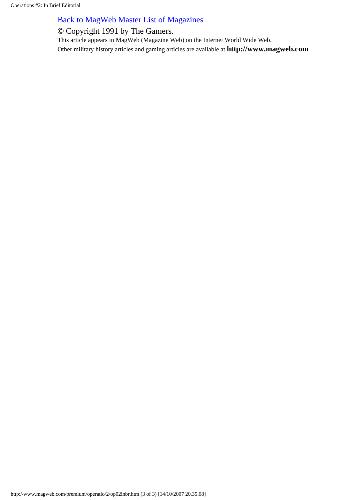## [Back to MagWeb Master List of Magazines](http://www.magweb.com/premium/maglist.htm)

© Copyright 1991 by The Gamers.

This article appears in MagWeb (Magazine Web) on the Internet World Wide Web. Other military history articles and gaming articles are available at **http://www.magweb.com**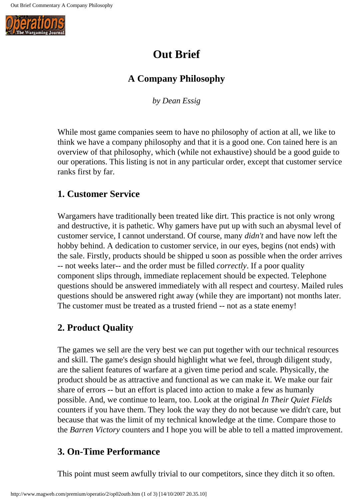

# **Out Brief**

## **A Company Philosophy**

*by Dean Essig*

While most game companies seem to have no philosophy of action at all, we like to think we have a company philosophy and that it is a good one. Con tained here is an overview of that philosophy, which (while not exhaustive) should be a good guide to our operations. This listing is not in any particular order, except that customer service ranks first by far.

## **1. Customer Service**

Wargamers have traditionally been treated like dirt. This practice is not only wrong and destructive, it is pathetic. Why gamers have put up with such an abysmal level of customer service, I cannot understand. Of course, many *didn't* and have now left the hobby behind. A dedication to customer service, in our eyes, begins (not ends) with the sale. Firstly, products should be shipped u soon as possible when the order arrives -- not weeks later-- and the order must be filled *correctly*. If a poor quality component slips through, immediate replacement should be expected. Telephone questions should be answered immediately with all respect and courtesy. Mailed rules questions should be answered right away (while they are important) not months later. The customer must be treated as a trusted friend -- not as a state enemy!

## **2. Product Quality**

The games we sell are the very best we can put together with our technical resources and skill. The game's design should highlight what we feel, through diligent study, are the salient features of warfare at a given time period and scale. Physically, the product should be as attractive and functional as we can make it. We make our fair share of errors -- but an effort is placed into action to make a few as humanly possible. And, we continue to learn, too. Look at the original *In Their Quiet Fields* counters if you have them. They look the way they do not because we didn't care, but because that was the limit of my technical knowledge at the time. Compare those to the *Barren Victory* counters and I hope you will be able to tell a matted improvement.

## **3. On-Time Performance**

This point must seem awfully trivial to our competitors, since they ditch it so often.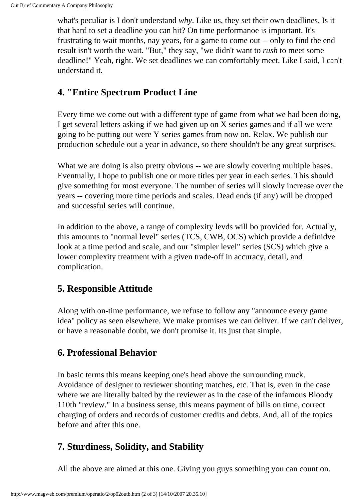what's peculiar is I don't understand *why*. Like us, they set their own deadlines. Is it that hard to set a deadline you can hit? On time performanoe is important. It's frustrating to wait months, nay years, for a game to come out -- only to find the end result isn't worth the wait. "But," they say, "we didn't want to *rush* to meet some deadline!" Yeah, right. We set deadlines we can comfortably meet. Like I said, I can't understand it.

## **4. "Entire Spectrum Product Line**

Every time we come out with a different type of game from what we had been doing, I get several letters asking if we had given up on X series games and if all we were going to be putting out were Y series games from now on. Relax. We publish our production schedule out a year in advance, so there shouldn't be any great surprises.

What we are doing is also pretty obvious -- we are slowly covering multiple bases. Eventually, I hope to publish one or more titles per year in each series. This should give something for most everyone. The number of series will slowly increase over the years -- covering more time periods and scales. Dead ends (if any) will be dropped and successful series will continue.

In addition to the above, a range of complexity levds will bo provided for. Actually, this amounts to "normal level" series (TCS, CWB, OCS) which provide a definidve look at a time period and scale, and our "simpler level" series (SCS) which give a lower complexity treatment with a given trade-off in accuracy, detail, and complication.

## **5. Responsible Attitude**

Along with on-time performance, we refuse to follow any "announce every game idea" policy as seen elsewhere. We make promises we can deliver. If we can't deliver, or have a reasonable doubt, we don't promise it. Its just that simple.

## **6. Professional Behavior**

In basic terms this means keeping one's head above the surrounding muck. Avoidance of designer to reviewer shouting matches, etc. That is, even in the case where we are literally baited by the reviewer as in the case of the infamous Bloody 110th "review." In a business sense, this means payment of bills on time, correct charging of orders and records of customer credits and debts. And, all of the topics before and after this one.

# **7. Sturdiness, Solidity, and Stability**

All the above are aimed at this one. Giving you guys something you can count on.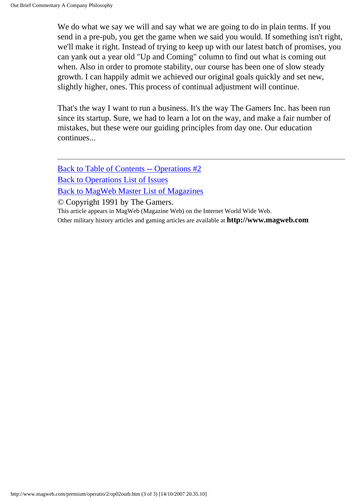We do what we say we will and say what we are going to do in plain terms. If you send in a pre-pub, you get the game when we said you would. If something isn't right, we'll make it right. Instead of trying to keep up with our latest batch of promises, you can yank out a year old "Up and Coming" column to find out what is coming out when. Also in order to promote stability, our course has been one of slow steady growth. I can happily admit we achieved our original goals quickly and set new, slightly higher, ones. This process of continual adjustment will continue.

That's the way I want to run a business. It's the way The Gamers Inc. has been run since its startup. Sure, we had to learn a lot on the way, and make a fair number of mistakes, but these were our guiding principles from day one. Our education continues...

[Back to Table of Contents -- Operations #2](#page-0-0) [Back to Operations List of Issues](http://www.magweb.com/premium/operatio/operiss.htm) [Back to MagWeb Master List of Magazines](http://www.magweb.com/premium/maglist.htm) © Copyright 1991 by The Gamers. This article appears in MagWeb (Magazine Web) on the Internet World Wide Web. Other military history articles and gaming articles are available at **http://www.magweb.com**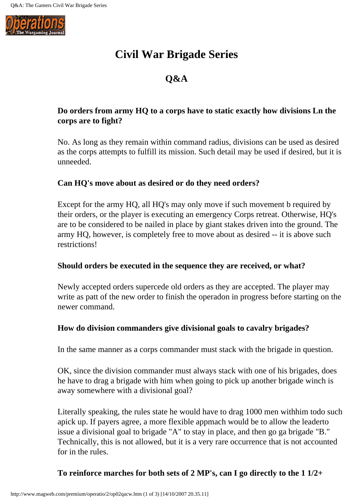

# **Civil War Brigade Series**

# **Q&A**

#### **Do orders from army HQ to a corps have to static exactly how divisions Ln the corps are to fight?**

No. As long as they remain within command radius, divisions can be used as desired as the corps attempts to fulfill its mission. Such detail may be used if desired, but it is unneeded.

#### **Can HQ's move about as desired or do they need orders?**

Except for the army HQ, all HQ's may only move if such movement b required by their orders, or the player is executing an emergency Corps retreat. Otherwise, HQ's are to be considered to be nailed in place by giant stakes driven into the ground. The army HQ, however, is completely free to move about as desired -- it is above such restrictions!

#### **Should orders be executed in the sequence they are received, or what?**

Newly accepted orders supercede old orders as they are accepted. The player may write as patt of the new order to finish the operadon in progress before starting on the newer command.

#### **How do division commanders give divisional goals to cavalry brigades?**

In the same manner as a corps commander must stack with the brigade in question.

OK, since the division commander must always stack with one of his brigades, does he have to drag a brigade with him when going to pick up another brigade winch is away somewhere with a divisional goal?

Literally speaking, the rules state he would have to drag 1000 men withhim todo such apick up. If payers agree, a more flexible appmach would be to allow the leaderto issue a divisional goal to brigade "A" to stay in place, and then go ga brigade "B." Technically, this is not allowed, but it is a very rare occurrence that is not accounted for in the rules.

#### **To reinforce marches for both sets of 2 MP's, can I go directly to the 1 1/2+**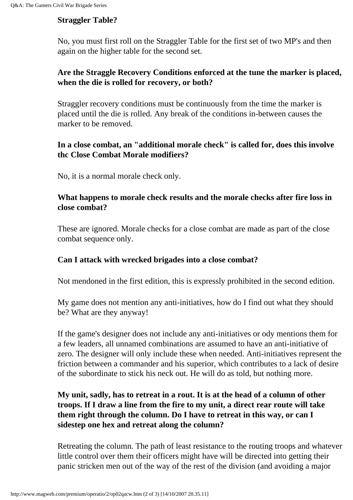#### **Straggler Table?**

No, you must first roll on the Straggler Table for the first set of two MP's and then again on the higher table for the second set.

#### **Are the Straggle Recovery Conditions enforced at the tune the marker is placed, when the die is rolled for recovery, or both?**

Straggler recovery conditions must be continuously from the time the marker is placed until the die is rolled. Any break of the conditions in-between causes the marker to be removed.

#### **In a close combat, an "additional morale check" is called for, does this involve thc Close Combat Morale modifiers?**

No, it is a normal morale check only.

#### **What happens to morale check results and the morale checks after fire loss in close combat?**

These are ignored. Morale checks for a close combat are made as part of the close combat sequence only.

#### **Can I attack with wrecked brigades into a close combat?**

Not mendoned in the first edition, this is expressly prohibited in the second edition.

My game does not mention any anti-initiatives, how do I find out what they should be? What are they anyway!

If the game's designer does not include any anti-initiatives or ody mentions them for a few leaders, all unnamed combinations are assumed to have an anti-initiative of zero. The designer will only include these when needed. Anti-initiatives represent the friction between a commander and his superior, which contributes to a lack of desire of the subordinate to stick his neck out. He will do as told, but nothing more.

#### **My unit, sadly, has to retreat in a rout. It is at the head of a column of other troops. If I draw a line from the fire to my unit, a direct rear route will take them right through the column. Do I have to retreat in this way, or can I sidestep one hex and retreat along the column?**

Retreating the column. The path of least resistance to the routing troops and whatever little control over them their officers might have will be directed into getting their panic stricken men out of the way of the rest of the division (and avoiding a major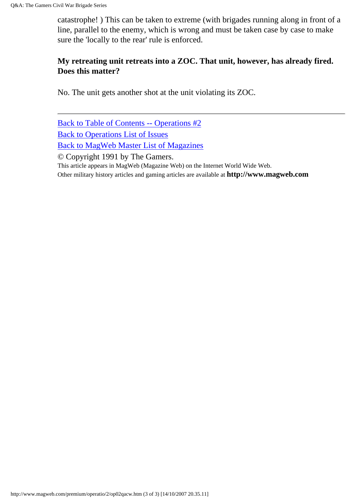catastrophe! ) This can be taken to extreme (with brigades running along in front of a line, parallel to the enemy, which is wrong and must be taken case by case to make sure the 'locally to the rear' rule is enforced.

#### **My retreating unit retreats into a ZOC. That unit, however, has already fired. Does this matter?**

No. The unit gets another shot at the unit violating its ZOC.

[Back to Table of Contents -- Operations #2](#page-0-0) [Back to Operations List of Issues](http://www.magweb.com/premium/operatio/operiss.htm) [Back to MagWeb Master List of Magazines](http://www.magweb.com/premium/maglist.htm) © Copyright 1991 by The Gamers. This article appears in MagWeb (Magazine Web) on the Internet World Wide Web. Other military history articles and gaming articles are available at **http://www.magweb.com**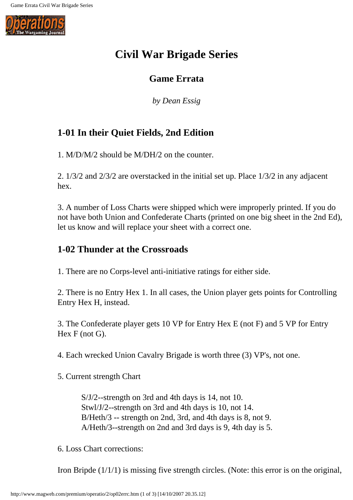

# **Civil War Brigade Series**

## **Game Errata**

*by Dean Essig*

# **1-01 In their Quiet Fields, 2nd Edition**

1. M/D/M/2 should be M/DH/2 on the counter.

2. 1/3/2 and 2/3/2 are overstacked in the initial set up. Place 1/3/2 in any adjacent hex.

3. A number of Loss Charts were shipped which were improperly printed. If you do not have both Union and Confederate Charts (printed on one big sheet in the 2nd Ed), let us know and will replace your sheet with a correct one.

## **1-02 Thunder at the Crossroads**

1. There are no Corps-level anti-initiative ratings for either side.

2. There is no Entry Hex 1. In all cases, the Union player gets points for Controlling Entry Hex H, instead.

3. The Confederate player gets 10 VP for Entry Hex E (not F) and 5 VP for Entry Hex F (not G).

4. Each wrecked Union Cavalry Brigade is worth three (3) VP's, not one.

5. Current strength Chart

S/J/2--strength on 3rd and 4th days is 14, not 10. Stwl/J/2--strength on 3rd and 4th days is 10, not 14. B/Heth/3 -- strength on 2nd, 3rd, and 4th days is 8, not 9. A/Heth/3--strength on 2nd and 3rd days is 9, 4th day is 5.

6. Loss Chart corrections:

Iron Bripde (1/1/1) is missing five strength circles. (Note: this error is on the original,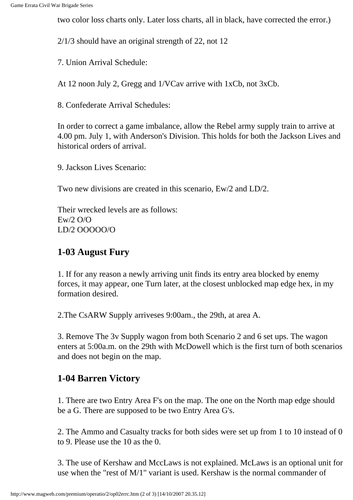two color loss charts only. Later loss charts, all in black, have corrected the error.)

2/1/3 should have an original strength of 22, not 12

7. Union Arrival Schedule:

At 12 noon July 2, Gregg and 1/VCav arrive with 1xCb, not 3xCb.

8. Confederate Arrival Schedules:

In order to correct a game imbalance, allow the Rebel army supply train to arrive at 4.00 pm. July 1, with Anderson's Division. This holds for both the Jackson Lives and historical orders of arrival.

9. Jackson Lives Scenario:

Two new divisions are created in this scenario, Ew/2 and LD/2.

Their wrecked levels are as follows: Ew/2 O/O LD/2 OOOOO/O

## **1-03 August Fury**

1. If for any reason a newly arriving unit finds its entry area blocked by enemy forces, it may appear, one Turn later, at the closest unblocked map edge hex, in my formation desired.

2.The CsARW Supply arriveses 9:00am., the 29th, at area A.

3. Remove The 3v Supply wagon from both Scenario 2 and 6 set ups. The wagon enters at 5:00a.m. on the 29th with McDowell which is the first turn of both scenarios and does not begin on the map.

## **1-04 Barren Victory**

1. There are two Entry Area F's on the map. The one on the North map edge should be a G. There are supposed to be two Entry Area G's.

2. The Ammo and Casualty tracks for both sides were set up from 1 to 10 instead of 0 to 9. Please use the 10 as the 0.

3. The use of Kershaw and MccLaws is not explained. McLaws is an optional unit for use when the "rest of M/1" variant is used. Kershaw is the normal commander of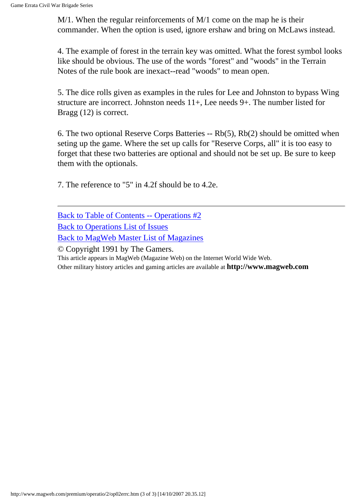M/1. When the regular reinforcements of M/1 come on the map he is their commander. When the option is used, ignore ershaw and bring on McLaws instead.

4. The example of forest in the terrain key was omitted. What the forest symbol looks like should be obvious. The use of the words "forest" and "woods" in the Terrain Notes of the rule book are inexact--read "woods" to mean open.

5. The dice rolls given as examples in the rules for Lee and Johnston to bypass Wing structure are incorrect. Johnston needs 11+, Lee needs 9+. The number listed for Bragg (12) is correct.

6. The two optional Reserve Corps Batteries -- Rb(5), Rb(2) should be omitted when seting up the game. Where the set up calls for "Reserve Corps, all" it is too easy to forget that these two batteries are optional and should not be set up. Be sure to keep them with the optionals.

7. The reference to "5" in 4.2f should be to 4.2e.

| Back to Table of Contents -- Operations #2 |
|--------------------------------------------|
|--------------------------------------------|

[Back to Operations List of Issues](http://www.magweb.com/premium/operatio/operiss.htm)

[Back to MagWeb Master List of Magazines](http://www.magweb.com/premium/maglist.htm)

© Copyright 1991 by The Gamers.

This article appears in MagWeb (Magazine Web) on the Internet World Wide Web.

Other military history articles and gaming articles are available at **http://www.magweb.com**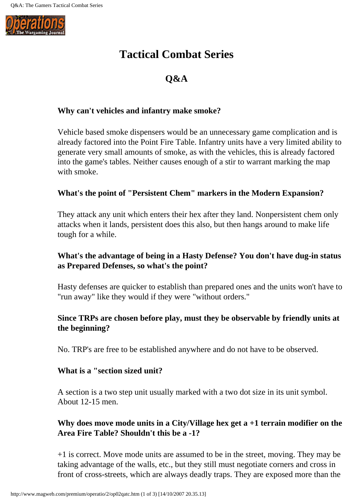

# **Tactical Combat Series**

# **Q&A**

#### **Why can't vehicles and infantry make smoke?**

Vehicle based smoke dispensers would be an unnecessary game complication and is already factored into the Point Fire Table. Infantry units have a very limited ability to generate very small amounts of smoke, as with the vehicles, this is already factored into the game's tables. Neither causes enough of a stir to warrant marking the map with smoke.

#### **What's the point of "Persistent Chem" markers in the Modern Expansion?**

They attack any unit which enters their hex after they land. Nonpersistent chem only attacks when it lands, persistent does this also, but then hangs around to make life tough for a while.

#### **What's the advantage of being in a Hasty Defense? You don't have dug-in status as Prepared Defenses, so what's the point?**

Hasty defenses are quicker to establish than prepared ones and the units won't have to "run away" like they would if they were "without orders."

#### **Since TRPs are chosen before play, must they be observable by friendly units at the beginning?**

No. TRP's are free to be established anywhere and do not have to be observed.

#### **What is a "section sized unit?**

A section is a two step unit usually marked with a two dot size in its unit symbol. About 12-15 men.

#### **Why does move mode units in a City/Village hex get a +1 terrain modifier on the Area Fire Table? Shouldn't this be a -1?**

+1 is correct. Move mode units are assumed to be in the street, moving. They may be taking advantage of the walls, etc., but they still must negotiate corners and cross in front of cross-streets, which are always deadly traps. They are exposed more than the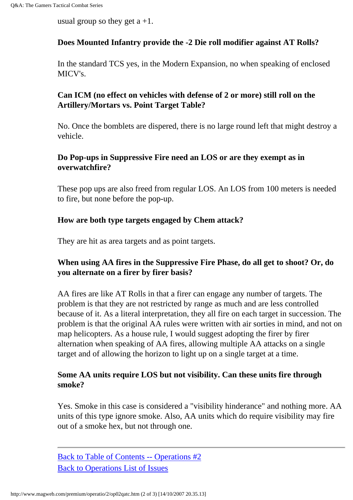usual group so they get  $a + 1$ .

#### **Does Mounted Infantry provide the -2 Die roll modifier against AT Rolls?**

In the standard TCS yes, in the Modern Expansion, no when speaking of enclosed MICV's.

#### **Can ICM (no effect on vehicles with defense of 2 or more) still roll on the Artillery/Mortars vs. Point Target Table?**

No. Once the bomblets are dispered, there is no large round left that might destroy a vehicle.

#### **Do Pop-ups in Suppressive Fire need an LOS or are they exempt as in overwatchfire?**

These pop ups are also freed from regular LOS. An LOS from 100 meters is needed to fire, but none before the pop-up.

#### **How are both type targets engaged by Chem attack?**

They are hit as area targets and as point targets.

#### **When using AA fires in the Suppressive Fire Phase, do all get to shoot? Or, do you alternate on a firer by firer basis?**

AA fires are like AT Rolls in that a firer can engage any number of targets. The problem is that they are not restricted by range as much and are less controlled because of it. As a literal interpretation, they all fire on each target in succession. The problem is that the original AA rules were written with air sorties in mind, and not on map helicopters. As a house rule, I would suggest adopting the firer by firer alternation when speaking of AA fires, allowing multiple AA attacks on a single target and of allowing the horizon to light up on a single target at a time.

#### **Some AA units require LOS but not visibility. Can these units fire through smoke?**

Yes. Smoke in this case is considered a "visibility hinderance" and nothing more. AA units of this type ignore smoke. Also, AA units which do require visibility may fire out of a smoke hex, but not through one.

[Back to Table of Contents -- Operations #2](#page-0-0) [Back to Operations List of Issues](http://www.magweb.com/premium/operatio/operiss.htm)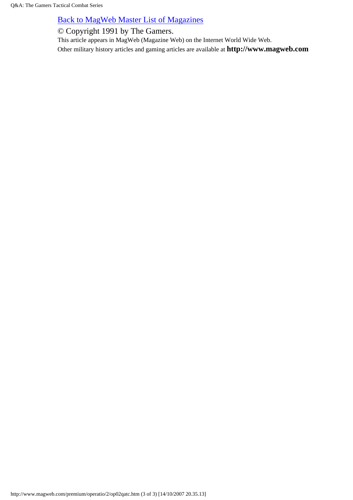#### [Back to MagWeb Master List of Magazines](http://www.magweb.com/premium/maglist.htm)

© Copyright 1991 by The Gamers.

This article appears in MagWeb (Magazine Web) on the Internet World Wide Web. Other military history articles and gaming articles are available at **http://www.magweb.com**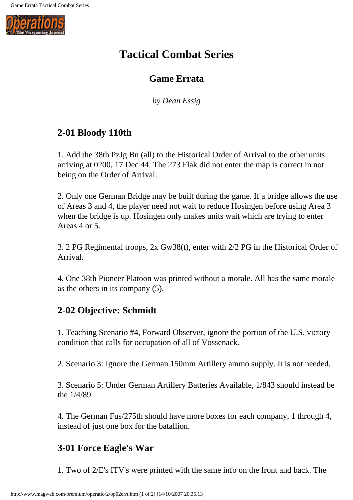

# **Tactical Combat Series**

## **Game Errata**

*by Dean Essig*

# **2-01 Bloody 110th**

1. Add the 38th PzJg Bn (all) to the Historical Order of Arrival to the other units arriving at 0200, 17 Dec 44. The 273 Flak did not enter the map is correct in not being on the Order of Arrival.

2. Only one German Bridge may be built during the game. If a bridge allows the use of Areas 3 and 4, the player need not wait to reduce Hosingen before using Area 3 when the bridge is up. Hosingen only makes units wait which are trying to enter Areas 4 or 5.

3. 2 PG Regimental troops, 2x Gw38(t), enter with 2/2 PG in the Historical Order of Arrival.

4. One 38th Pioneer Platoon was printed without a morale. All has the same morale as the others in its company (5).

# **2-02 Objective: Schmidt**

1. Teaching Scenario #4, Forward Observer, ignore the portion of the U.S. victory condition that calls for occupation of all of Vossenack.

2. Scenario 3: Ignore the German 150mm Artillery ammo supply. It is not needed.

3. Scenario 5: Under German Artillery Batteries Available, 1/843 should instead be the 1/4/89.

4. The German Fus/275th should have more boxes for each company, 1 through 4, instead of just one box for the batallion.

# **3-01 Force Eagle's War**

1. Two of 2/E's ITV's were printed with the same info on the front and back. The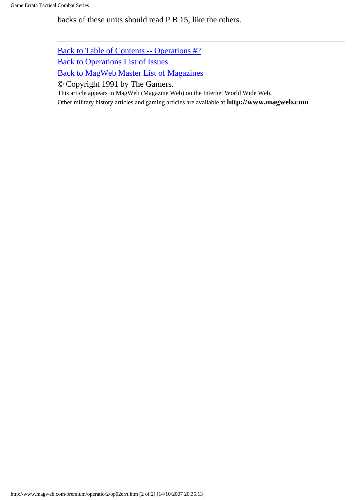backs of these units should read P B 15, like the others.

[Back to Table of Contents -- Operations #2](#page-0-0)

[Back to Operations List of Issues](http://www.magweb.com/premium/operatio/operiss.htm)

[Back to MagWeb Master List of Magazines](http://www.magweb.com/premium/maglist.htm)

© Copyright 1991 by The Gamers.

This article appears in MagWeb (Magazine Web) on the Internet World Wide Web.

Other military history articles and gaming articles are available at **http://www.magweb.com**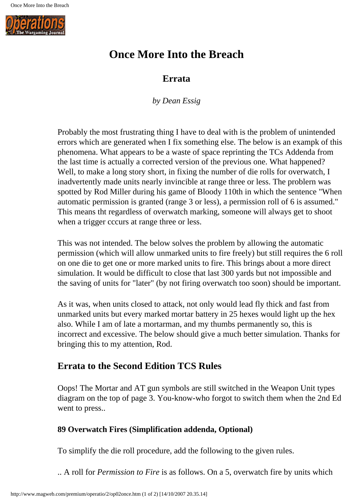

# **Once More Into the Breach**

### **Errata**

*by Dean Essig*

Probably the most frustrating thing I have to deal with is the problem of unintended errors which are generated when I fix something else. The below is an exampk of this phenomena. What appears to be a waste of space reprinting the TCs Addenda from the last time is actually a corrected version of the previous one. What happened? Well, to make a long story short, in fixing the number of die rolls for overwatch, I inadvertently made units nearly invincible at range three or less. The problern was spotted by Rod Miller during his game of Bloody 110th in which the sentence "When automatic permission is granted (range 3 or less), a permission roll of 6 is assumed." This means tht regardless of overwatch marking, someone will always get to shoot when a trigger cccurs at range three or less.

This was not intended. The below solves the problem by allowing the automatic permission (which will allow unmarked units to fire freely) but still requires the 6 roll on one die to get one or more marked units to fire. This brings about a more direct simulation. It would be difficult to close that last 300 yards but not impossible and the saving of units for "later" (by not firing overwatch too soon) should be important.

As it was, when units closed to attack, not only would lead fly thick and fast from unmarked units but every marked mortar battery in 25 hexes would light up the hex also. While I am of late a mortarman, and my thumbs permanently so, this is incorrect and excessive. The below should give a much better simulation. Thanks for bringing this to my attention, Rod.

## **Errata to the Second Edition TCS Rules**

Oops! The Mortar and AT gun symbols are still switched in the Weapon Unit types diagram on the top of page 3. You-know-who forgot to switch them when the 2nd Ed went to press..

### **89 Overwatch Fires (Simplification addenda, Optional)**

To simplify the die roll procedure, add the following to the given rules.

.. A roll for *Permission to Fire* is as follows. On a 5, overwatch fire by units which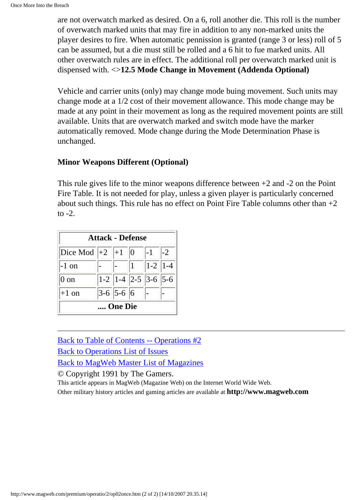are not overwatch marked as desired. On a 6, roll another die. This roll is the number of overwatch marked units that may fire in addition to any non-marked units the player desires to fire. When automatic pennission is granted (range 3 or less) roll of 5 can be assumed, but a die must still be rolled and a 6 hit to fue marked units. All other overwatch rules are in effect. The additional roll per overwatch marked unit is dispensed with. <>**12.5 Mode Change in Movement (Addenda Optional)**

Vehicle and carrier units (only) may change mode buing movement. Such units may change mode at a 1/2 cost of their movement allowance. This mode change may be made at any point in their movement as long as the required movement points are still available. Units that are overwatch marked and switch mode have the marker automatically removed. Mode change during the Mode Determination Phase is unchanged.

#### **Minor Weapons Different (Optional)**

This rule gives life to the minor weapons difference between  $+2$  and  $-2$  on the Point Fire Table. It is not needed for play, unless a given player is particularly concerned about such things. This rule has no effect on Point Fire Table columns other than  $+2$ to  $-2$ .

| <b>Attack - Defense</b> |  |                   |   |                            |      |
|-------------------------|--|-------------------|---|----------------------------|------|
| $ Dice Mod  +2  +1  0$  |  |                   |   | $ -1$                      | $-2$ |
| $-1$ on                 |  |                   | 1 | $ 1-2 $   1 - 4            |      |
| 0 on                    |  |                   |   | $ 1-2  1-4  2-5  3-6  5-6$ |      |
| $+1$ on                 |  | $ 3-6 $ 5-6 $ 6 $ |   |                            |      |
| One Die                 |  |                   |   |                            |      |

[Back to Table of Contents -- Operations #2](#page-0-0)

[Back to Operations List of Issues](http://www.magweb.com/premium/operatio/operiss.htm)

[Back to MagWeb Master List of Magazines](http://www.magweb.com/premium/maglist.htm)

© Copyright 1991 by The Gamers.

This article appears in MagWeb (Magazine Web) on the Internet World Wide Web.

Other military history articles and gaming articles are available at **http://www.magweb.com**